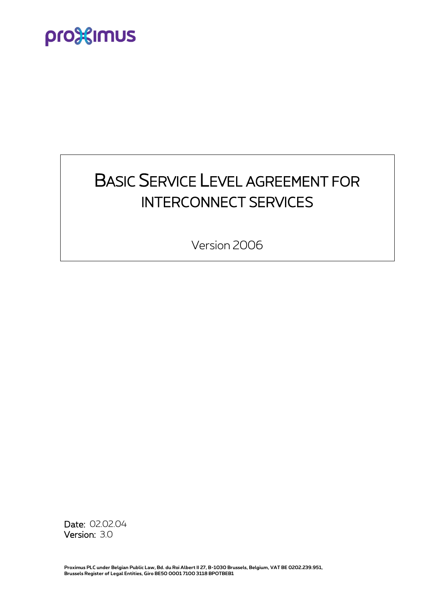# pro<sup>32</sup>imus

# BASIC SERVICE LEVEL AGREEMENT FOR INTERCONNECT SERVICES

Version 2006

Date: 02.02.04 Version: 3.0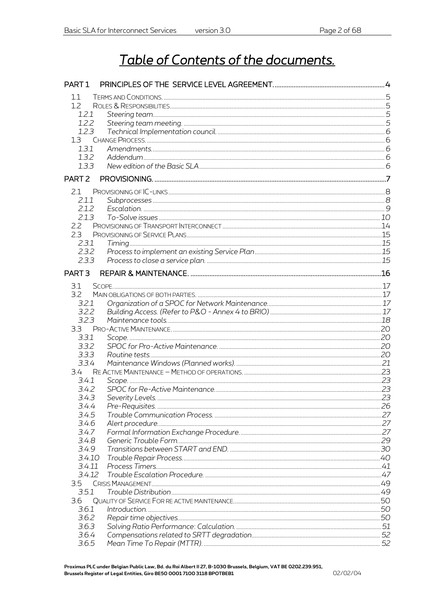# Table of Contents of the documents.

| PART <sub>1</sub> |  |
|-------------------|--|
| 1.1               |  |
| 1.2               |  |
| 1.2.1             |  |
| 1.2.2             |  |
| 1.2.3             |  |
| 1.3               |  |
| 1.3.1             |  |
| 1.3.2             |  |
| 1.3.3             |  |
| PART <sub>2</sub> |  |
| 2.1               |  |
| 2.1.1             |  |
| 2.1.2             |  |
| 2.1.3             |  |
| $2.2^{\circ}$     |  |
| 2.3               |  |
| 2.3.1             |  |
| 2.3.2             |  |
| 2.3.3             |  |
| PART <sub>3</sub> |  |
|                   |  |
| 3.1               |  |
| 3.2               |  |
| 3.2.1             |  |
| 3.2.2             |  |
| 3.2.3             |  |
| 3.3               |  |
| 3.3.1<br>3.3.2    |  |
| 3.3.3             |  |
| 3.3.4             |  |
| 3.4               |  |
| 3.4.1             |  |
| 3.4.2             |  |
| 3.4.3             |  |
| 3.4.4             |  |
| 3.4.5             |  |
| 3.4.6             |  |
| 3.4.7             |  |
| 3.4.8             |  |
| 3.4.9             |  |
| 3.4.10            |  |
| 3.4.11            |  |
| 3.4.12            |  |
| 35                |  |
| 3.5.1             |  |
| 3.6               |  |
| 3.6.1             |  |
| 3.6.2             |  |
| 3.6.3             |  |
| 3.6.4             |  |
| 3.6.5             |  |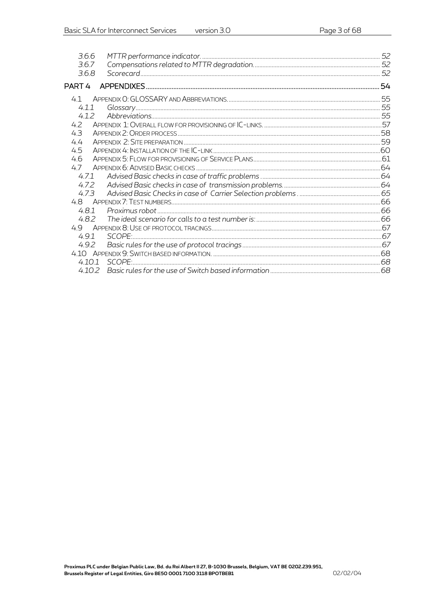| 3.6.6             |               |  |
|-------------------|---------------|--|
| 3.6.7             |               |  |
| 3.6.8             |               |  |
| PART <sub>4</sub> |               |  |
| 41                |               |  |
| 4.1.1             |               |  |
| 4.1.2             |               |  |
| $4.2^{\circ}$     |               |  |
| 4.3               |               |  |
| 4.4               |               |  |
| 4.5               |               |  |
| 4.6               |               |  |
| 47                |               |  |
| 4.7.1             |               |  |
| 472               |               |  |
| 473               |               |  |
|                   |               |  |
| 4.8.1             |               |  |
| 4.8.2             |               |  |
|                   |               |  |
| 4.9.1             |               |  |
| 492               |               |  |
|                   |               |  |
|                   | 4.10.1 SCOPE: |  |
|                   |               |  |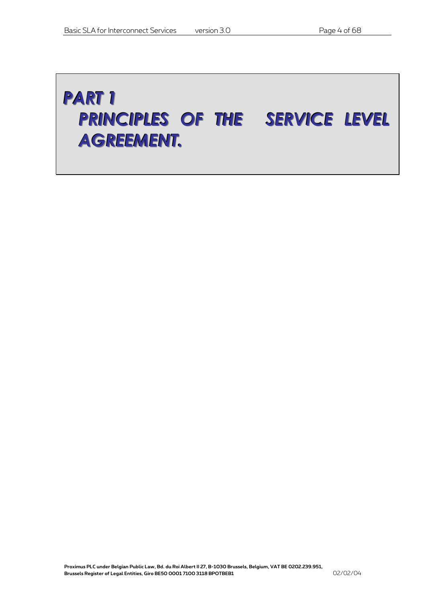# *PART 1 PRINCIPLES OF THE SERVICE LEVEL AGREEMENT.*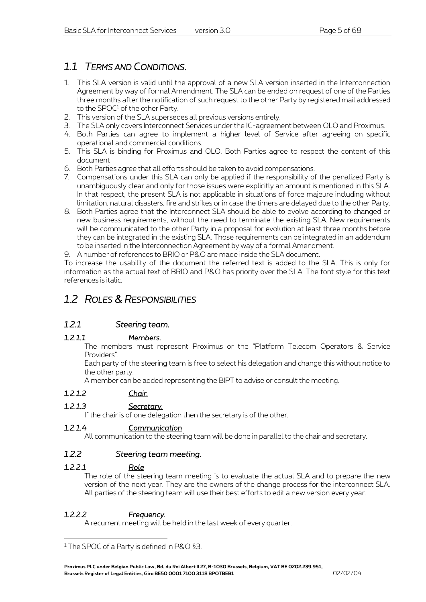# *1.1 TERMS AND CONDITIONS.*

- 1. This SLA version is valid until the approval of a new SLA version inserted in the Interconnection Agreement by way of formal Amendment. The SLA can be ended on request of one of the Parties three months after the notification of such request to the other Party by registered mail addressed to the SPOC<sup>1</sup> of the other Party.
- 2. This version of the SLA supersedes all previous versions entirely.
- 3. The SLA only covers Interconnect Services under the IC-agreement between OLO and Proximus.
- 4. Both Parties can agree to implement a higher level of Service after agreeing on specific operational and commercial conditions.
- 5. This SLA is binding for Proximus and OLO. Both Parties agree to respect the content of this document
- 6. Both Parties agree that all efforts should be taken to avoid compensations.
- 7. Compensations under this SLA can only be applied if the responsibility of the penalized Party is unambiguously clear and only for those issues were explicitly an amount is mentioned in this SLA. In that respect, the present SLA is not applicable in situations of force majeure including without limitation, natural disasters, fire and strikes or in case the timers are delayed due to the other Party.
- 8. Both Parties agree that the Interconnect SLA should be able to evolve according to changed or new business requirements, without the need to terminate the existing SLA. New requirements will be communicated to the other Party in a proposal for evolution at least three months before they can be integrated in the existing SLA. Those requirements can be integrated in an addendum to be inserted in the Interconnection Agreement by way of a formal Amendment.
- 9. A number of references to BRIO or P&O are made inside the SLA document.

To increase the usability of the document the referred text is added to the SLA. This is only for information as the actual text of BRIO and P&O has priority over the SLA. The font style for this text references is italic.

## *1.2 ROLES & RESPONSIBILITIES*

#### *1.2.1 Steering team.*

#### *1.2.1.1 Members.*

The members must represent Proximus or the "Platform Telecom Operators & Service Providers".

Each party of the steering team is free to select his delegation and change this without notice to the other party.

A member can be added representing the BIPT to advise or consult the meeting.

#### *1.2.1.2 Chair.*

#### *1.2.1.3 Secretary.*

If the chair is of one delegation then the secretary is of the other.

#### *1.2.1.4 Communication*

All communication to the steering team will be done in parallel to the chair and secretary.

#### *1.2.2 Steering team meeting.*

#### *1.2.2.1 Role*

l

The role of the steering team meeting is to evaluate the actual SLA and to prepare the new version of the next year. They are the owners of the change process for the interconnect SLA. All parties of the steering team will use their best efforts to edit a new version every year.

#### *1.2.2.2 Frequency.*

A recurrent meeting will be held in the last week of every quarter.

<sup>&</sup>lt;sup>1</sup> The SPOC of a Party is defined in P&O §3.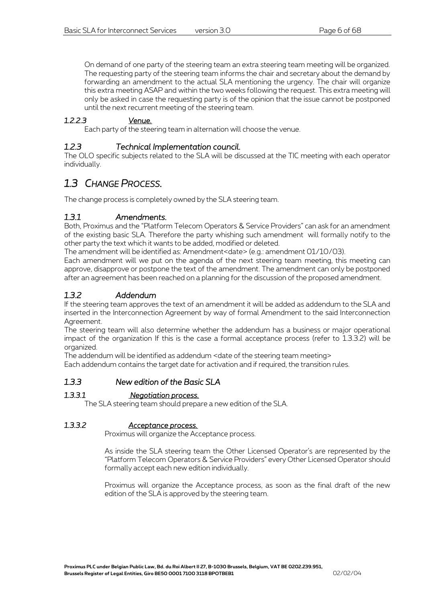On demand of one party of the steering team an extra steering team meeting will be organized. The requesting party of the steering team informs the chair and secretary about the demand by forwarding an amendment to the actual SLA mentioning the urgency. The chair will organize this extra meeting ASAP and within the two weeks following the request. This extra meeting will only be asked in case the requesting party is of the opinion that the issue cannot be postponed until the next recurrent meeting of the steering team.

#### *1.2.2.3 Venue.*

Each party of the steering team in alternation will choose the venue.

#### *1.2.3 Technical Implementation council.*

The OLO specific subjects related to the SLA will be discussed at the TIC meeting with each operator individually.

### *1.3 CHANGE PROCESS.*

The change process is completely owned by the SLA steering team.

#### *1.3.1 Amendments.*

Both, Proximus and the "Platform Telecom Operators & Service Providers" can ask for an amendment of the existing basic SLA. Therefore the party whishing such amendment will formally notify to the other party the text which it wants to be added, modified or deleted.

The amendment will be identified as: Amendment<date> (e.g.: amendment 01/10/03).

Each amendment will we put on the agenda of the next steering team meeting, this meeting can approve, disapprove or postpone the text of the amendment. The amendment can only be postponed after an agreement has been reached on a planning for the discussion of the proposed amendment.

#### *1.3.2 Addendum*

If the steering team approves the text of an amendment it will be added as addendum to the SLA and inserted in the Interconnection Agreement by way of formal Amendment to the said Interconnection Agreement.

The steering team will also determine whether the addendum has a business or major operational impact of the organization If this is the case a formal acceptance process (refer to [1.3.3.2\)](#page-5-0) will be organized.

The addendum will be identified as addendum <date of the steering team meeting> Each addendum contains the target date for activation and if required, the transition rules.

#### *1.3.3 New edition of the Basic SLA*

#### *1.3.3.1 Negotiation process.*

The SLA steering team should prepare a new edition of the SLA.

#### <span id="page-5-0"></span>*1.3.3.2 Acceptance process.*

Proximus will organize the Acceptance process.

As inside the SLA steering team the Other Licensed Operator's are represented by the "Platform Telecom Operators & Service Providers" every Other Licensed Operator should formally accept each new edition individually.

Proximus will organize the Acceptance process, as soon as the final draft of the new edition of the SLA is approved by the steering team.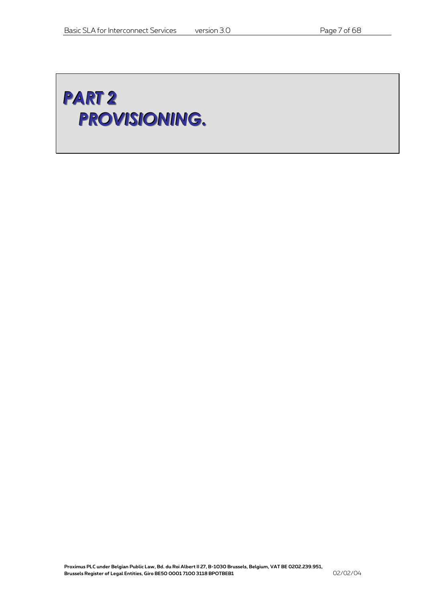# *PART 2 PROVISIONING.*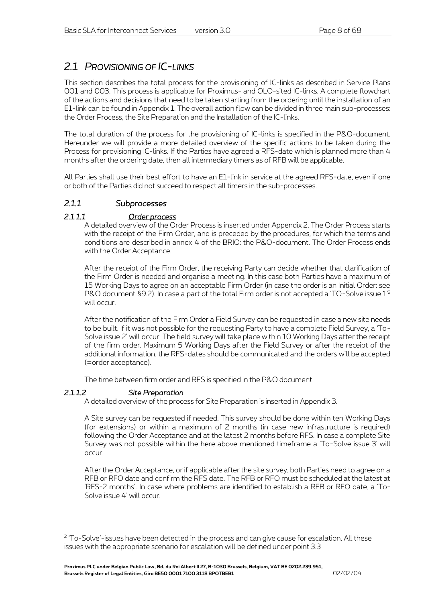# *2.1 PROVISIONING OF IC-LINKS*

This section describes the total process for the provisioning of IC-links as described in Service Plans 001 and 003. This process is applicable for Proximus- and OLO-sited IC-links. A complete flowchart of the actions and decisions that need to be taken starting from the ordering until the installation of an E1-link can be found in Appendix 1. The overall action flow can be divided in three main sub-processes: the Order Process, the Site Preparation and the Installation of the IC-links.

The total duration of the process for the provisioning of IC-links is specified in the P&O-document. Hereunder we will provide a more detailed overview of the specific actions to be taken during the Process for provisioning IC-links. If the Parties have agreed a RFS-date which is planned more than 4 months after the ordering date, then all intermediary timers as of RFB will be applicable.

All Parties shall use their best effort to have an E1-link in service at the agreed RFS-date, even if one or both of the Parties did not succeed to respect all timers in the sub-processes.

#### *2.1.1 Subprocesses*

#### *2.1.1.1 Order process*

A detailed overview of the Order Process is inserted under Appendix 2. The Order Process starts with the receipt of the Firm Order, and is preceded by the procedures, for which the terms and conditions are described in annex 4 of the BRIO: the P&O-document. The Order Process ends with the Order Acceptance.

After the receipt of the Firm Order, the receiving Party can decide whether that clarification of the Firm Order is needed and organise a meeting. In this case both Parties have a maximum of 15 Working Days to agree on an acceptable Firm Order (in case the order is an Initial Order: see P&O document §9.2). In case a part of the total Firm order is not accepted a 'TO-Solve issue 1<sup>'2</sup> will occur.

After the notification of the Firm Order a Field Survey can be requested in case a new site needs to be built. If it was not possible for the requesting Party to have a complete Field Survey, a 'To-Solve issue 2' will occur. The field survey will take place within 10 Working Days after the receipt of the firm order. Maximum 5 Working Days after the Field Survey or after the receipt of the additional information, the RFS-dates should be communicated and the orders will be accepted (=order acceptance).

The time between firm order and RFS is specified in the P&O document.

#### *2.1.1.2 Site Preparation*

l

A detailed overview of the process for Site Preparation is inserted in Appendix 3.

A Site survey can be requested if needed. This survey should be done within ten Working Days (for extensions) or within a maximum of 2 months (in case new infrastructure is required) following the Order Acceptance and at the latest 2 months before RFS. In case a complete Site Survey was not possible within the here above mentioned timeframe a 'To-Solve issue 3' will occur.

After the Order Acceptance, or if applicable after the site survey, both Parties need to agree on a RFB or RFO date and confirm the RFS date. The RFB or RFO must be scheduled at the latest at 'RFS-2 months'. In case where problems are identified to establish a RFB or RFO date, a 'To-Solve issue 4' will occur.

<sup>2</sup> 'To-Solve'-issues have been detected in the process and can give cause for escalation. All these issues with the appropriate scenario for escalation will be defined under point 3.3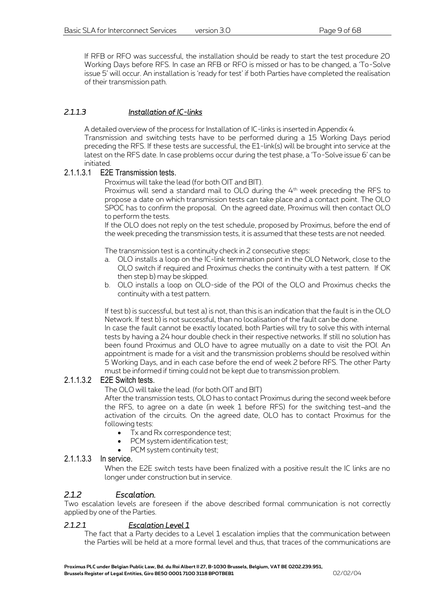If RFB or RFO was successful, the installation should be ready to start the test procedure 20 Working Days before RFS. In case an RFB or RFO is missed or has to be changed, a 'To-Solve issue 5' will occur. An installation is 'ready for test' if both Parties have completed the realisation of their transmission path.

#### *2.1.1.3 Installation of IC-links*

A detailed overview of the process for Installation of IC-links is inserted in Appendix 4.

Transmission and switching tests have to be performed during a 15 Working Days period preceding the RFS. If these tests are successful, the E1-link(s) will be brought into service at the latest on the RFS date. In case problems occur during the test phase, a 'To-Solve issue 6' can be initiated.

#### 2.1.1.3.1 E2E Transmission tests.

Proximus will take the lead (for both OIT and BIT).

Proximus will send a standard mail to OLO during the 4<sup>th</sup> week preceding the RFS to propose a date on which transmission tests can take place and a contact point. The OLO SPOC has to confirm the proposal. On the agreed date, Proximus will then contact OLO to perform the tests.

If the OLO does not reply on the test schedule, proposed by Proximus, before the end of the week preceding the transmission tests, it is assumed that these tests are not needed.

The transmission test is a continuity check in 2 consecutive steps:

- a. OLO installs a loop on the IC-link termination point in the OLO Network, close to the OLO switch if required and Proximus checks the continuity with a test pattern. If OK then step b) may be skipped.
- b. OLO installs a loop on OLO-side of the POI of the OLO and Proximus checks the continuity with a test pattern.

If test b) is successful, but test a) is not, than this is an indication that the fault is in the OLO Network. If test b) is not successful, than no localisation of the fault can be done.

In case the fault cannot be exactly located, both Parties will try to solve this with internal tests by having a 24 hour double check in their respective networks. If still no solution has been found Proximus and OLO have to agree mutually on a date to visit the POI. An appointment is made for a visit and the transmission problems should be resolved within 5 Working Days, and in each case before the end of week 2 before RFS. The other Party must be informed if timing could not be kept due to transmission problem.

#### 2.1.1.3.2 E2E Switch tests.

The OLO will take the lead. (for both OIT and BIT)

After the transmission tests, OLO has to contact Proximus during the second week before the RFS, to agree on a date (in week 1 before RFS) for the switching test and the activation of the circuits. On the agreed date, OLO has to contact Proximus for the following tests:

- Tx and Rx correspondence test;
- PCM system identification test;
- PCM system continuity test;

#### 2.1.1.3.3 In service.

When the E2E switch tests have been finalized with a positive result the IC links are no longer under construction but in service.

#### *2.1.2 Escalation.*

Two escalation levels are foreseen if the above described formal communication is not correctly applied by one of the Parties.

#### *2.1.2.1 Escalation Level 1*

The fact that a Party decides to a Level 1 escalation implies that the communication between the Parties will be held at a more formal level and thus, that traces of the communications are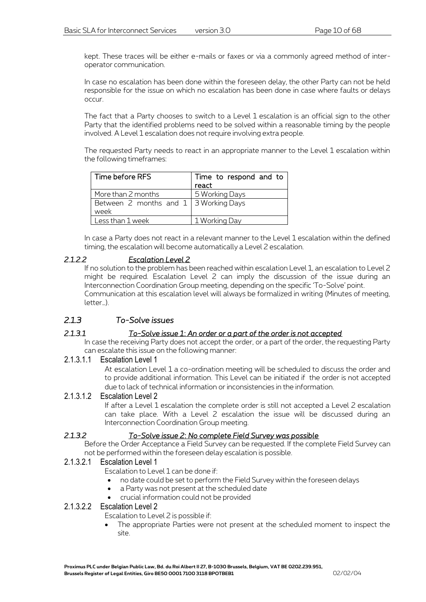kept. These traces will be either e-mails or faxes or via a commonly agreed method of interoperator communication.

In case no escalation has been done within the foreseen delay, the other Party can not be held responsible for the issue on which no escalation has been done in case where faults or delays occur.

The fact that a Party chooses to switch to a Level 1 escalation is an official sign to the other Party that the identified problems need to be solved within a reasonable timing by the people involved. A Level 1 escalation does not require involving extra people.

The requested Party needs to react in an appropriate manner to the Level 1 escalation within the following timeframes:

| Time before RFS                                 | Time to respond and to<br>react |
|-------------------------------------------------|---------------------------------|
| More than 2 months                              | 5 Working Days                  |
| Between 2 months and 1   3 Working Days<br>week |                                 |
| Less than 1 week                                | 1 Working Day                   |

In case a Party does not react in a relevant manner to the Level 1 escalation within the defined timing, the escalation will become automatically a Level 2 escalation.

#### *2.1.2.2 Escalation Level 2*

If no solution to the problem has been reached within escalation Level 1, an escalation to Level 2 might be required. Escalation Level 2 can imply the discussion of the issue during an Interconnection Coordination Group meeting, depending on the specific 'To-Solve' point. Communication at this escalation level will always be formalized in writing (Minutes of meeting, letter…).

#### *2.1.3 To-Solve issues*

#### *2.1.3.1 To-Solve issue 1: An order or a part of the order is not accepted*

In case the receiving Party does not accept the order, or a part of the order, the requesting Party can escalate this issue on the following manner:

#### 2.1.3.1.1 Escalation Level 1

At escalation Level 1 a co-ordination meeting will be scheduled to discuss the order and to provide additional information. This Level can be initiated if the order is not accepted due to lack of technical information or inconsistencies in the information.

#### 2.1.3.1.2 Escalation Level 2

If after a Level 1 escalation the complete order is still not accepted a Level 2 escalation can take place. With a Level 2 escalation the issue will be discussed during an Interconnection Coordination Group meeting.

#### *2.1.3.2 To-Solve issue 2: No complete Field Survey was possible*

Before the Order Acceptance a Field Survey can be requested. If the complete Field Survey can not be performed within the foreseen delay escalation is possible.

#### 2.1.3.2.1 Escalation Level 1

Escalation to Level 1 can be done if:

- no date could be set to perform the Field Survey within the foreseen delays
- a Party was not present at the scheduled date
- crucial information could not be provided

#### 2.1.3.2.2 Escalation Level 2

Escalation to Level 2 is possible if:

 The appropriate Parties were not present at the scheduled moment to inspect the site.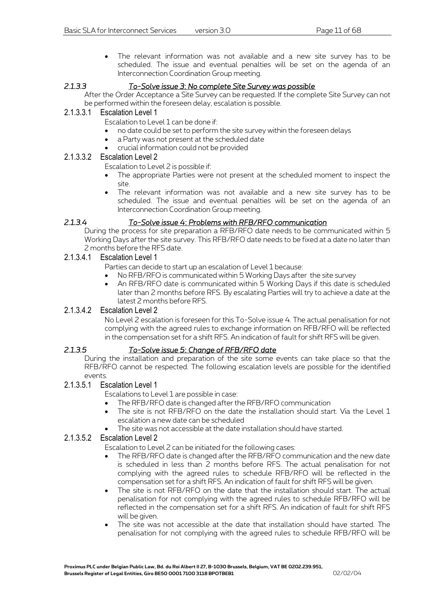The relevant information was not available and a new site survey has to be scheduled. The issue and eventual penalties will be set on the agenda of an Interconnection Coordination Group meeting.

#### *2.1.3.3 To-Solve issue 3: No complete Site Survey was possible*

After the Order Acceptance a Site Survey can be requested. If the complete Site Survey can not be performed within the foreseen delay, escalation is possible.

#### 2.1.3.3.1 Escalation Level 1

Escalation to Level 1 can be done if:

- no date could be set to perform the site survey within the foreseen delays
- a Party was not present at the scheduled date
- crucial information could not be provided

#### 2.1.3.3.2 Escalation Level 2

Escalation to Level 2 is possible if:

- The appropriate Parties were not present at the scheduled moment to inspect the site.
- The relevant information was not available and a new site survey has to be scheduled. The issue and eventual penalties will be set on the agenda of an Interconnection Coordination Group meeting.

#### *2.1.3.4 To-Solve issue 4: Problems with RFB/RFO communication*

During the process for site preparation a RFB/RFO date needs to be communicated within 5 Working Days after the site survey. This RFB/RFO date needs to be fixed at a date no later than 2 months before the RFS date.

#### 2.1.3.4.1 Escalation Level 1

Parties can decide to start up an escalation of Level 1 because:

- No RFB/RFO is communicated within 5 Working Days after the site survey
- An RFB/RFO date is communicated within 5 Working Days if this date is scheduled later than 2 months before RFS. By escalating Parties will try to achieve a date at the latest 2 months before RFS.

#### 2.1.3.4.2 Escalation Level 2

No Level 2 escalation is foreseen for this To-Solve issue 4. The actual penalisation for not complying with the agreed rules to exchange information on RFB/RFO will be reflected in the compensation set for a shift RFS. An indication of fault for shift RFS will be given.

#### *2.1.3.5 To-Solve issue 5: Change of RFB/RFO date*

During the installation and preparation of the site some events can take place so that the RFB/RFO cannot be respected. The following escalation levels are possible for the identified events.

#### 2.1.3.5.1 Escalation Level 1

Escalations to Level 1 are possible in case:

- The RFB/RFO date is changed after the RFB/RFO communication
- The site is not RFB/RFO on the date the installation should start. Via the Level 1 escalation a new date can be scheduled
	- The site was not accessible at the date installation should have started.

#### 2.1.3.5.2 Escalation Level 2

Escalation to Level 2 can be initiated for the following cases:

- The RFB/RFO date is changed after the RFB/RFO communication and the new date is scheduled in less than 2 months before RFS. The actual penalisation for not complying with the agreed rules to schedule RFB/RFO will be reflected in the compensation set for a shift RFS. An indication of fault for shift RFS will be given.
- The site is not RFB/RFO on the date that the installation should start. The actual penalisation for not complying with the agreed rules to schedule RFB/RFO will be reflected in the compensation set for a shift RFS. An indication of fault for shift RFS will be given.
- The site was not accessible at the date that installation should have started. The penalisation for not complying with the agreed rules to schedule RFB/RFO will be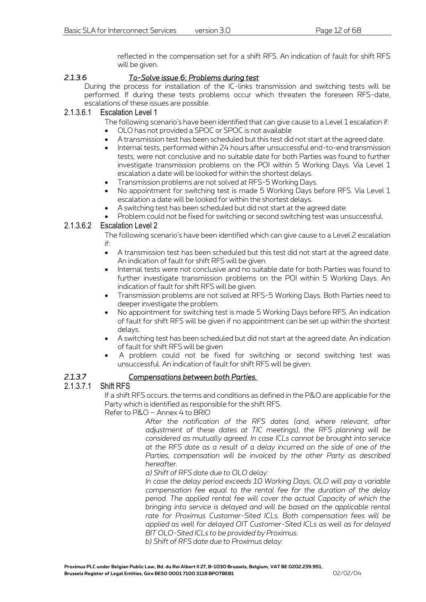reflected in the compensation set for a shift RFS. An indication of fault for shift RFS will be given.

#### *2.1.3.6 To-Solve issue 6: Problems during test*

During the process for installation of the IC-links transmission and switching tests will be performed. If during these tests problems occur which threaten the foreseen RFS-date, escalations of these issues are possible.

#### 2.1.3.6.1 Escalation Level 1

The following scenario's have been identified that can give cause to a Level 1 escalation if:

- OLO has not provided a SPOC or SPOC is not available
- A transmission test has been scheduled but this test did not start at the agreed date.
- Internal tests, performed within 24 hours after unsuccessful end-to-end transmission tests, were not conclusive and no suitable date for both Parties was found to further investigate transmission problems on the POI within 5 Working Days. Via Level 1 escalation a date will be looked for within the shortest delays.
- Transmission problems are not solved at RFS-5 Working Days.
- No appointment for switching test is made 5 Working Days before RFS. Via Level 1 escalation a date will be looked for within the shortest delays.
- A switching test has been scheduled but did not start at the agreed date.
- Problem could not be fixed for switching or second switching test was unsuccessful.

#### 2.1.3.6.2 Escalation Level 2

The following scenario's have been identified which can give cause to a Level 2 escalation if:

- A transmission test has been scheduled but this test did not start at the agreed date. An indication of fault for shift RFS will be given.
- Internal tests were not conclusive and no suitable date for both Parties was found to further investigate transmission problems on the POI within 5 Working Days. An indication of fault for shift RFS will be given.
- Transmission problems are not solved at RFS-5 Working Days. Both Parties need to deeper investigate the problem.
- No appointment for switching test is made 5 Working Days before RFS. An indication of fault for shift RFS will be given if no appointment can be set up within the shortest delays.
- A switching test has been scheduled but did not start at the agreed date. An indication of fault for shift RFS will be given
- A problem could not be fixed for switching or second switching test was unsuccessful. An indication of fault for shift RFS will be given.

#### *2.1.3.7 Compensations between both Parties.*

#### 2.1.3.7.1 Shift RFS

If a shift RFS occurs. the terms and conditions as defined in the P&O are applicable for the Party which is identified as responsible for the shift RFS.

Refer to P&O – Annex 4 to BRIO

*After the notification of the RFS dates (and, where relevant, after adjustment of these dates at TIC meetings), the RFS planning will be considered as mutually agreed. In case ICLs cannot be brought into service at the RFS date as a result of a delay incurred on the side of one of the Parties, compensation will be invoiced by the other Party as described hereafter.* 

*a) Shift of RFS date due to OLO delay:*

*In case the delay period exceeds 10 Working Days, OLO will pay a variable compensation fee equal to the rental fee for the duration of the delay*  period. The applied rental fee will cover the actual Capacity of which the *bringing into service is delayed and will be based on the applicable rental rate for Proximus Customer-Sited ICLs. Both compensation fees will be applied as well for delayed OIT Customer-Sited ICLs as well as for delayed BIT OLO-Sited ICLs to be provided by Proximus.*

*b) Shift of RFS date due to Proximus delay:*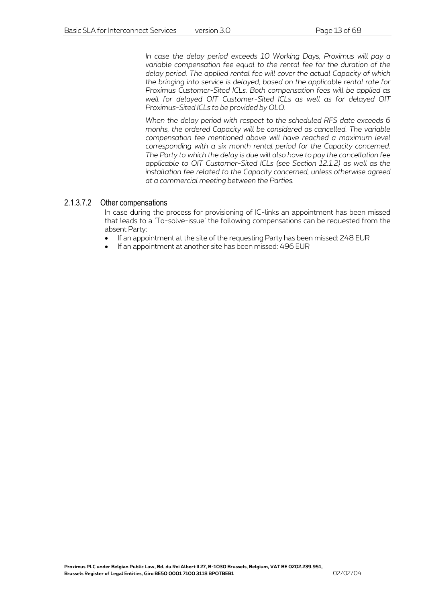*In case the delay period exceeds 10 Working Days, Proximus will pay a variable compensation fee equal to the rental fee for the duration of the delay period. The applied rental fee will cover the actual Capacity of which the bringing into service is delayed, based on the applicable rental rate for Proximus Customer-Sited ICLs. Both compensation fees will be applied as well for delayed OIT Customer-Sited ICLs as well as for delayed OIT Proximus-Sited ICLs to be provided by OLO.*

*When the delay period with respect to the scheduled RFS date exceeds 6 monhs, the ordered Capacity will be considered as cancelled. The variable compensation fee mentioned above will have reached a maximum level corresponding with a six month rental period for the Capacity concerned. The Party to which the delay is due will also have to pay the cancellation fee applicable to OIT Customer-Sited ICLs (see Section 12.1.2) as well as the installation fee related to the Capacity concerned, unless otherwise agreed at a commercial meeting between the Parties.*

#### 2.1.3.7.2 Other compensations

In case during the process for provisioning of IC-links an appointment has been missed that leads to a 'To-solve-issue' the following compensations can be requested from the absent Party:

- If an appointment at the site of the requesting Party has been missed: 248 EUR
- If an appointment at another site has been missed: 496 EUR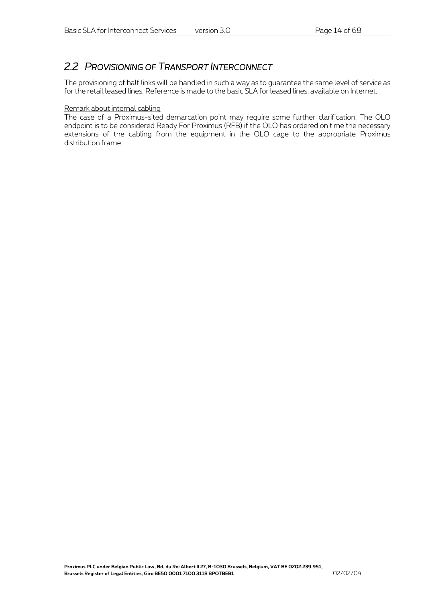# *2.2 PROVISIONING OF TRANSPORT INTERCONNECT*

The provisioning of half links will be handled in such a way as to guarantee the same level of service as for the retail leased lines. Reference is made to the basic SLA for leased lines, available on Internet.

#### Remark about internal cabling

The case of a Proximus-sited demarcation point may require some further clarification. The OLO endpoint is to be considered Ready For Proximus (RFB) if the OLO has ordered on time the necessary extensions of the cabling from the equipment in the OLO cage to the appropriate Proximus distribution frame.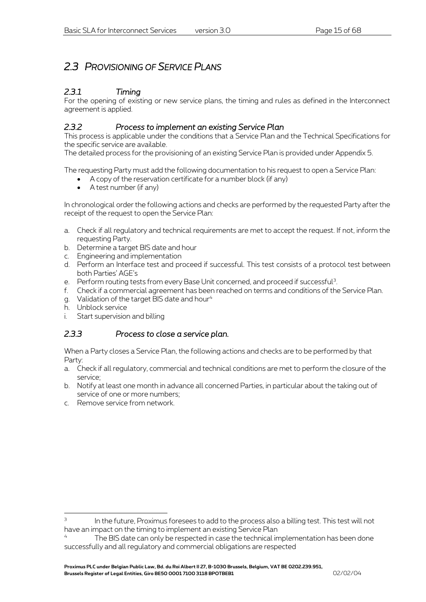# *2.3 PROVISIONING OF SERVICE PLANS*

#### *2.3.1 Timing*

For the opening of existing or new service plans, the timing and rules as defined in the Interconnect agreement is applied.

#### *2.3.2 Process to implement an existing Service Plan*

This process is applicable under the conditions that a Service Plan and the Technical Specifications for the specific service are available.

The detailed process for the provisioning of an existing Service Plan is provided under Appendix 5.

The requesting Party must add the following documentation to his request to open a Service Plan:

- A copy of the reservation certificate for a number block (if any)
- A test number (if any)

In chronological order the following actions and checks are performed by the requested Party after the receipt of the request to open the Service Plan:

- a. Check if all regulatory and technical requirements are met to accept the request. If not, inform the requesting Party.
- b. Determine a target BIS date and hour
- c. Engineering and implementation
- d. Perform an Interface test and proceed if successful. This test consists of a protocol test between both Parties' AGE's
- e. Perform routing tests from every Base Unit concerned, and proceed if successful<sup>3</sup>.
- f. Check if a commercial agreement has been reached on terms and conditions of the Service Plan.
- g. Validation of the target BIS date and hour<sup>4</sup>
- h. Unblock service

l

i. Start supervision and billing

#### *2.3.3 Process to close a service plan.*

When a Party closes a Service Plan, the following actions and checks are to be performed by that Party:

- a. Check if all regulatory, commercial and technical conditions are met to perform the closure of the service;
- b. Notify at least one month in advance all concerned Parties, in particular about the taking out of service of one or more numbers;
- c. Remove service from network.

<sup>3</sup> In the future, Proximus foresees to add to the process also a billing test. This test will not have an impact on the timing to implement an existing Service Plan

The BIS date can only be respected in case the technical implementation has been done successfully and all regulatory and commercial obligations are respected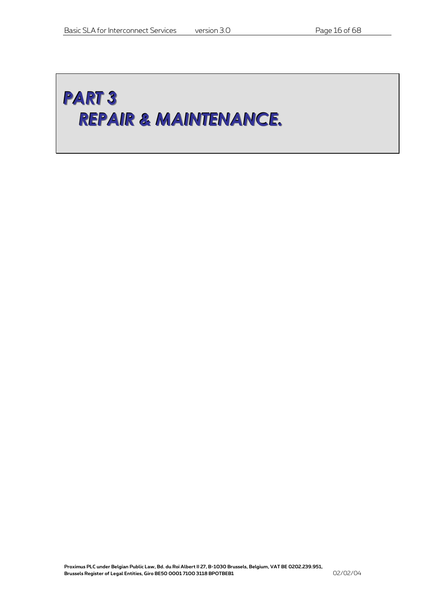# *PART 3 REPAIR & MAINTENANCE.*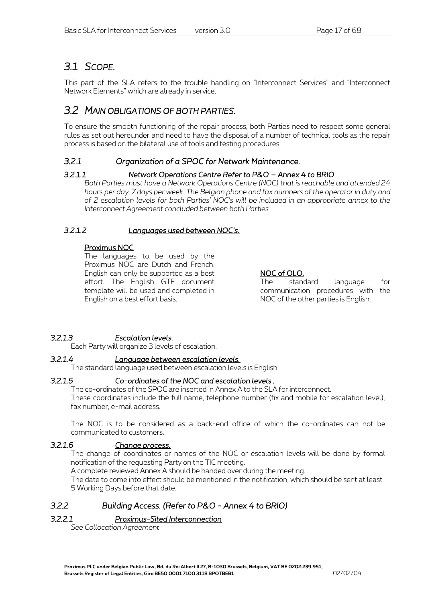# *3.1 SCOPE.*

This part of the SLA refers to the trouble handling on "Interconnect Services" and "Interconnect Network Elements" which are already in service.

# *3.2 MAIN OBLIGATIONS OF BOTH PARTIES.*

To ensure the smooth functioning of the repair process, both Parties need to respect some general rules as set out hereunder and need to have the disposal of a number of technical tools as the repair process is based on the bilateral use of tools and testing procedures.

#### *3.2.1 Organization of a SPOC for Network Maintenance.*

#### *3.2.1.1 Network Operations Centre Refer to P&O – Annex 4 to BRIO*

*Both Parties must have a Network Operations Centre (NOC) that is reachable and attended 24 hours per day, 7 days per week. The Belgian phone and fax numbers of the operator in duty and of 2 escalation levels for both Parties' NOC's will be included in an appropriate annex to the Interconnect Agreement concluded between both Parties*

#### *3.2.1.2 Languages used between NOC's.*

#### Proximus NOC

The languages to be used by the Proximus NOC are Dutch and French. English can only be supported as a best effort. The English GTF document template will be used and completed in English on a best effort basis.

NOC of OLO.

The standard language for communication procedures with the NOC of the other parties is English.

#### *3.2.1.3 Escalation levels.*

Each Party will organize 3 levels of escalation.

#### *3.2.1.4 Language between escalation levels.*

The standard language used between escalation levels is English.

#### *3.2.1.5 Co-ordinates of the NOC and escalation levels .*

The co-ordinates of the SPOC are inserted in Annex A to the SLA for interconnect. These coordinates include the full name, telephone number (fix and mobile for escalation level), fax number, e-mail address.

The NOC is to be considered as a back-end office of which the co-ordinates can not be communicated to customers.

#### *3.2.1.6 Change process.*

The change of coordinates or names of the NOC or escalation levels will be done by formal notification of the requesting Party on the TIC meeting.

A complete reviewed Annex A should be handed over during the meeting.

The date to come into effect should be mentioned in the notification, which should be sent at least 5 Working Days before that date.

#### *3.2.2 Building Access. (Refer to P&O - Annex 4 to BRIO)*

#### *3.2.2.1 Proximus-Sited Interconnection*

*See Collocation Agreement*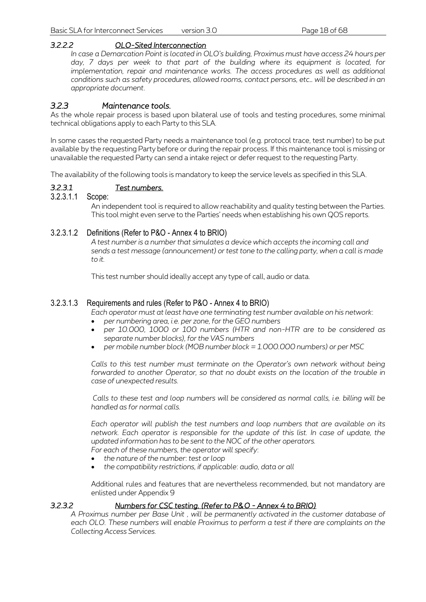#### *3.2.2.2 OLO-Sited Interconnection*

*In case a Demarcation Point is located in OLO's building, Proximus must have access 24 hours per*  day, 7 days per week to that part of the building where its equipment is located, for implementation, repair and maintenance works. The access procedures as well as additional *conditions such as safety procedures, allowed rooms, contact persons, etc… will be described in an appropriate document*.

#### *3.2.3 Maintenance tools.*

As the whole repair process is based upon bilateral use of tools and testing procedures, some minimal technical obligations apply to each Party to this SLA.

In some cases the requested Party needs a maintenance tool (e.g. protocol trace, test number) to be put available by the requesting Party before or during the repair process. If this maintenance tool is missing or unavailable the requested Party can send a intake reject or defer request to the requesting Party.

The availability of the following tools is mandatory to keep the service levels as specified in this SLA.

#### *3.2.3.1 Test numbers.*

#### 3.2.3.1.1 Scope:

An independent tool is required to allow reachability and quality testing between the Parties. This tool might even serve to the Parties' needs when establishing his own QOS reports.

#### 3.2.3.1.2 Definitions (Refer to P&O - Annex 4 to BRIO)

*A test number is a number that simulates a device which accepts the incoming call and sends a test message (announcement) or test tone to the calling party, when a call is made to it.*

This test number should ideally accept any type of call, audio or data.

#### 3.2.3.1.3 Requirements and rules (Refer to P&O - Annex 4 to BRIO)

*Each operator must at least have one terminating test number available on his network:* 

- *per numbering area, i.e. per zone, for the GEO numbers*
- *per 10.000, 1000 or 100 numbers (HTR and non-HTR are to be considered as separate number blocks), for the VAS numbers*
- *per mobile number block (MOB number block = 1.000.000 numbers) or per MSC*

*Calls to this test number must terminate on the Operator's own network without being forwarded to another Operator, so that no doubt exists on the location of the trouble in case of unexpected results.*

*Calls to these test and loop numbers will be considered as normal calls, i.e. billing will be handled as for normal calls.*

*Each operator will publish the test numbers and loop numbers that are available on its network. Each operator is responsible for the update of this list. In case of update, the updated information has to be sent to the NOC of the other operators. For each of these numbers, the operator will specify:*

- 
- *the nature of the number: test or loop*
- *the compatibility restrictions, if applicable: audio, data or all*

Additional rules and features that are nevertheless recommended, but not mandatory are enlisted under Appendix 9

#### *3.2.3.2 Numbers for CSC testing. (Refer to P&O - Annex 4 to BRIO)*

*A Proximus number per Base Unit , will be permanently activated in the customer database of each OLO. These numbers will enable Proximus to perform a test if there are complaints on the Collecting Access Services.*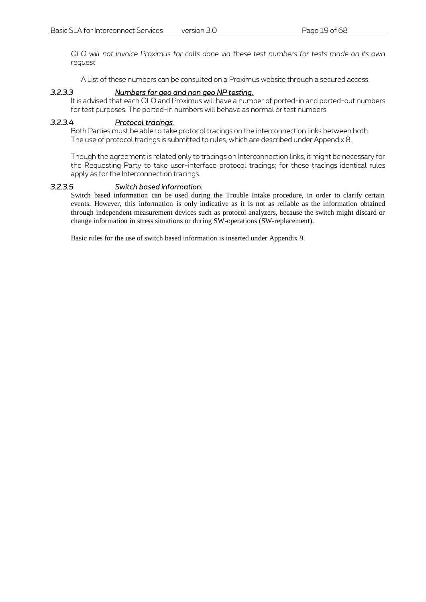*OLO will not invoice Proximus for calls done via these test numbers for tests made on its own request*

A List of these numbers can be consulted on a Proximus website through a secured access.

#### *3.2.3.3 Numbers for geo and non geo NP testing.*

It is advised that each OLO and Proximus will have a number of ported-in and ported-out numbers for test purposes. The ported-in numbers will behave as normal or test numbers.

#### *3.2.3.4 Protocol tracings.*

Both Parties must be able to take protocol tracings on the interconnection links between both. The use of protocol tracings is submitted to rules, which are described under Appendix 8.

Though the agreement is related only to tracings on Interconnection links, it might be necessary for the Requesting Party to take user-interface protocol tracings; for these tracings identical rules apply as for the Interconnection tracings.

#### *3.2.3.5 Switch based information.*

Switch based information can be used during the Trouble Intake procedure, in order to clarify certain events. However, this information is only indicative as it is not as reliable as the information obtained through independent measurement devices such as protocol analyzers, because the switch might discard or change information in stress situations or during SW-operations (SW-replacement).

Basic rules for the use of switch based information is inserted under Appendix 9.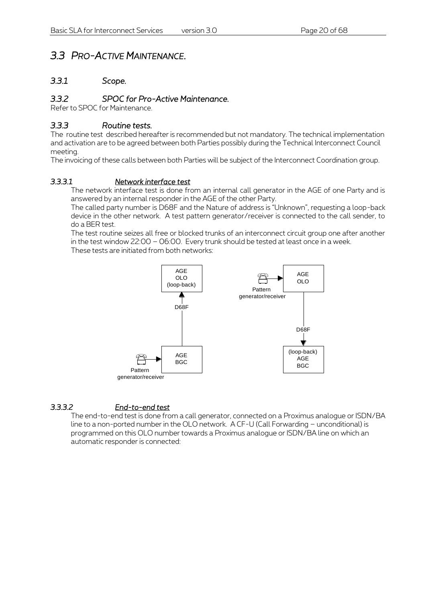# *3.3 PRO-ACTIVE MAINTENANCE.*

#### *3.3.1 Scope.*

#### *3.3.2 SPOC for Pro-Active Maintenance.*

Refer to SPOC for Maintenance.

#### *3.3.3 Routine tests.*

The routine test described hereafter is recommended but not mandatory. The technical implementation and activation are to be agreed between both Parties possibly during the Technical Interconnect Council meeting.

The invoicing of these calls between both Parties will be subject of the Interconnect Coordination group.

#### *3.3.3.1 Network interface test*

The network interface test is done from an internal call generator in the AGE of one Party and is answered by an internal responder in the AGE of the other Party.

The called party number is D68F and the Nature of address is "Unknown", requesting a loop-back device in the other network. A test pattern generator/receiver is connected to the call sender, to do a BER test.

The test routine seizes all free or blocked trunks of an interconnect circuit group one after another in the test window 22:00 – 06:00. Every trunk should be tested at least once in a week.

These tests are initiated from both networks:



#### *3.3.3.2 End-to-end test*

The end-to-end test is done from a call generator, connected on a Proximus analogue or ISDN/BA line to a non-ported number in the OLO network. A CF-U (Call Forwarding – unconditional) is programmed on this OLO number towards a Proximus analogue or ISDN/BA line on which an automatic responder is connected: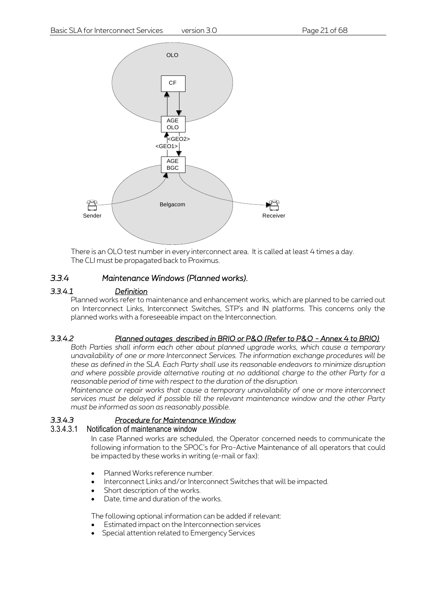

There is an OLO test number in every interconnect area. It is called at least 4 times a day. The CLI must be propagated back to Proximus.

#### *3.3.4 Maintenance Windows (Planned works).*

#### *3.3.4.1 Definition*

Planned works refer to maintenance and enhancement works, which are planned to be carried out on Interconnect Links, Interconnect Switches, STP's and IN platforms. This concerns only the planned works with a foreseeable impact on the Interconnection.

#### *3.3.4.2 Planned outages described in BRIO or P&O (Refer to P&O - Annex 4 to BRIO)*

*Both Parties shall inform each other about planned upgrade works, which cause a temporary unavailability of one or more Interconnect Services. The information exchange procedures will be these as defined in the SLA. Each Party shall use its reasonable endeavors to minimize disruption and where possible provide alternative routing at no additional charge to the other Party for a reasonable period of time with respect to the duration of the disruption.*

*Maintenance or repair works that cause a temporary unavailability of one or more interconnect services must be delayed if possible till the relevant maintenance window and the other Party must be informed as soon as reasonably possible.*

#### *3.3.4.3 Procedure for Maintenance Window*

#### 3.3.4.3.1 Notification of maintenance window

In case Planned works are scheduled, the Operator concerned needs to communicate the following information to the SPOC's for Pro-Active Maintenance of all operators that could be impacted by these works in writing (e-mail or fax):

- Planned Works reference number.
- Interconnect Links and/or Interconnect Switches that will be impacted.
- Short description of the works.
- Date, time and duration of the works.

The following optional information can be added if relevant:

- Estimated impact on the Interconnection services
- Special attention related to Emergency Services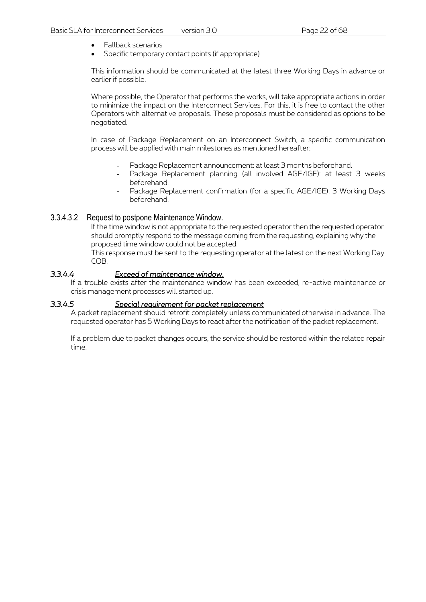- Fallback scenarios
- Specific temporary contact points (if appropriate)

This information should be communicated at the latest three Working Days in advance or earlier if possible.

Where possible, the Operator that performs the works, will take appropriate actions in order to minimize the impact on the Interconnect Services. For this, it is free to contact the other Operators with alternative proposals. These proposals must be considered as options to be negotiated.

In case of Package Replacement on an Interconnect Switch, a specific communication process will be applied with main milestones as mentioned hereafter:

- Package Replacement announcement: at least 3 months beforehand.
- Package Replacement planning (all involved AGE/IGE): at least 3 weeks beforehand.
- Package Replacement confirmation (for a specific AGE/IGE): 3 Working Days beforehand.

#### 3.3.4.3.2 Request to postpone Maintenance Window.

If the time window is not appropriate to the requested operator then the requested operator should promptly respond to the message coming from the requesting, explaining why the proposed time window could not be accepted.

This response must be sent to the requesting operator at the latest on the next Working Day COB.

#### *3.3.4.4 Exceed of maintenance window.*

If a trouble exists after the maintenance window has been exceeded, re-active maintenance or crisis management processes will started up.

#### *3.3.4.5 Special requirement for packet replacement*

A packet replacement should retrofit completely unless communicated otherwise in advance. The requested operator has 5 Working Days to react after the notification of the packet replacement.

If a problem due to packet changes occurs, the service should be restored within the related repair time.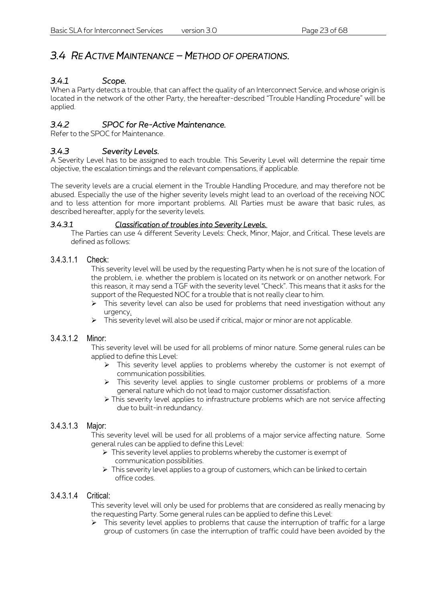## <span id="page-22-2"></span>*3.4 RE ACTIVE MAINTENANCE – METHOD OF OPERATIONS.*

#### *3.4.1 Scope.*

When a Party detects a trouble, that can affect the quality of an Interconnect Service, and whose origin is located in the network of the other Party, the hereafter-described "Trouble Handling Procedure" will be applied.

#### *3.4.2 SPOC for Re-Active Maintenance.*

<span id="page-22-1"></span>Refer to the SPOC for Maintenance.

#### *3.4.3 Severity Levels.*

A Severity Level has to be assigned to each trouble. This Severity Level will determine the repair time objective, the escalation timings and the relevant compensations, if applicable.

The severity levels are a crucial element in the Trouble Handling Procedure, and may therefore not be abused. Especially the use of the higher severity levels might lead to an overload of the receiving NOC and to less attention for more important problems. All Parties must be aware that basic rules, as described hereafter, apply for the severity levels.

#### <span id="page-22-0"></span>*3.4.3.1 Classification of troubles into Severity Levels.*

The Parties can use 4 different Severity Levels: Check, Minor, Major, and Critical. These levels are defined as follows:

#### 3.4.3.1.1 Check:

This severity level will be used by the requesting Party when he is not sure of the location of the problem, i.e. whether the problem is located on its network or on another network. For this reason, it may send a TGF with the severity level "Check". This means that it asks for the support of the Requested NOC for a trouble that is not really clear to him.

- $\triangleright$  This severity level can also be used for problems that need investigation without any urgency.
- $\triangleright$  This severity level will also be used if critical, major or minor are not applicable.

#### 3.4.3.1.2 Minor:

This severity level will be used for all problems of minor nature. Some general rules can be applied to define this Level:

- $\triangleright$  This severity level applies to problems whereby the customer is not exempt of communication possibilities.
- $\triangleright$  This severity level applies to single customer problems or problems of a more general nature which do not lead to major customer dissatisfaction.
- $\triangleright$  This severity level applies to infrastructure problems which are not service affecting due to built-in redundancy.

#### 3.4.3.1.3 Major:

This severity level will be used for all problems of a major service affecting nature. Some general rules can be applied to define this Level:

- $\triangleright$  This severity level applies to problems whereby the customer is exempt of communication possibilities.
- $\triangleright$  This severity level applies to a group of customers, which can be linked to certain office codes.

#### 3.4.3.1.4 Critical:

This severity level will only be used for problems that are considered as really menacing by the requesting Party. Some general rules can be applied to define this Level:

 $\triangleright$  This severity level applies to problems that cause the interruption of traffic for a large group of customers (in case the interruption of traffic could have been avoided by the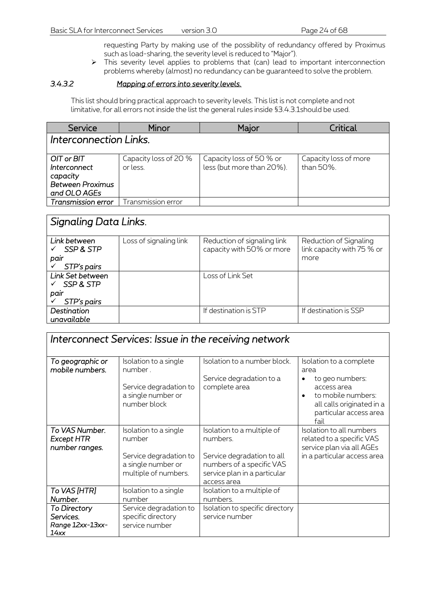requesting Party by making use of the possibility of redundancy offered by Proximus such as load-sharing, the severity level is reduced to "Major").

 This severity level applies to problems that (can) lead to important interconnection problems whereby (almost) no redundancy can be guaranteed to solve the problem.

#### *3.4.3.2 Mapping of errors into severity levels.*

This list should bring practical approach to severity levels. This list is not complete and not limitative, for all errors not inside the list the general rules inside [§3.4.3.1s](#page-22-0)hould be used.

| Service                 | Minor                     | Major                     | Critical              |  |  |  |
|-------------------------|---------------------------|---------------------------|-----------------------|--|--|--|
| Interconnection Links.  |                           |                           |                       |  |  |  |
|                         |                           |                           |                       |  |  |  |
| OIT or BIT              | Capacity loss of 20 %     | Capacity loss of 50 % or  | Capacity loss of more |  |  |  |
| Interconnect            | or less.                  | less (but more than 20%). | than 50%.             |  |  |  |
| capacity                |                           |                           |                       |  |  |  |
| <b>Between Proximus</b> |                           |                           |                       |  |  |  |
| and OLO AGEs            |                           |                           |                       |  |  |  |
| Transmission error      | <b>Transmission</b> error |                           |                       |  |  |  |

| Signaling Data Links.                                |                        |                                                          |                                                              |  |  |
|------------------------------------------------------|------------------------|----------------------------------------------------------|--------------------------------------------------------------|--|--|
| Link between<br>SSP & STP<br>pair<br>STP's pairs     | Loss of signaling link | Reduction of signaling link<br>capacity with 50% or more | Reduction of Signaling<br>link capacity with 75 % or<br>more |  |  |
| Link Set between<br>SSP & STP<br>pair<br>STP's pairs |                        | Loss of Link Set                                         |                                                              |  |  |
| Destination<br>unavailable                           |                        | If destination is STP                                    | If destination is SSP                                        |  |  |

| Interconnect Services: Issue in the receiving network |                                                                      |                                                                                                        |                                                                                                                                  |  |  |  |
|-------------------------------------------------------|----------------------------------------------------------------------|--------------------------------------------------------------------------------------------------------|----------------------------------------------------------------------------------------------------------------------------------|--|--|--|
| To geographic or<br>mobile numbers.                   | Isolation to a single<br>number.                                     | Isolation to a number block.                                                                           | Isolation to a complete<br>area                                                                                                  |  |  |  |
|                                                       | Service degradation to<br>a single number or<br>number block         | Service degradation to a<br>complete area                                                              | to geo numbers:<br>access area<br>to mobile numbers:<br>$\bullet$<br>all calls originated in a<br>particular access area<br>fail |  |  |  |
| To VAS Number.<br><b>Except HTR</b><br>number ranges. | Isolation to a single<br>number                                      | Isolation to a multiple of<br>numbers.                                                                 | Isolation to all numbers<br>related to a specific VAS<br>service plan via all AGEs                                               |  |  |  |
|                                                       | Service degradation to<br>a single number or<br>multiple of numbers. | Service degradation to all<br>numbers of a specific VAS<br>service plan in a particular<br>access area | in a particular access area                                                                                                      |  |  |  |
| To VAS [HTR]<br>Number.                               | Isolation to a single<br>number                                      | Isolation to a multiple of<br>numbers.                                                                 |                                                                                                                                  |  |  |  |
| To Directory<br>Services.<br>Range 12xx-13xx-<br>14xx | Service degradation to<br>specific directory<br>service number       | Isolation to specific directory<br>service number                                                      |                                                                                                                                  |  |  |  |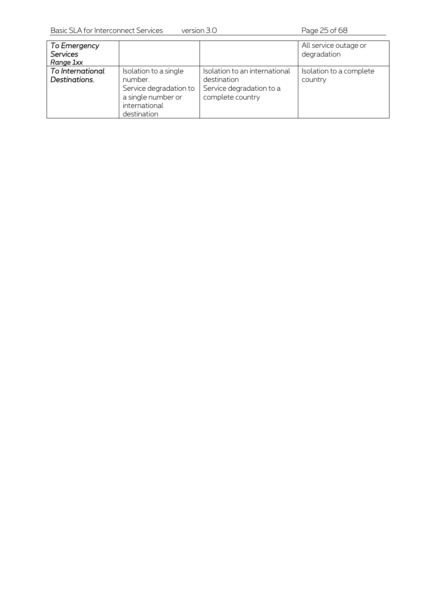| To Emergency<br><b>Services</b><br>Range 1xx |                                                                                                                  |                                                                                              | All service outage or<br>degradation |
|----------------------------------------------|------------------------------------------------------------------------------------------------------------------|----------------------------------------------------------------------------------------------|--------------------------------------|
| To International<br>Destinations.            | Isolation to a single<br>number.<br>Service degradation to<br>a single number or<br>international<br>destination | Isolation to an international<br>destination<br>Service degradation to a<br>complete country | Isolation to a complete<br>country   |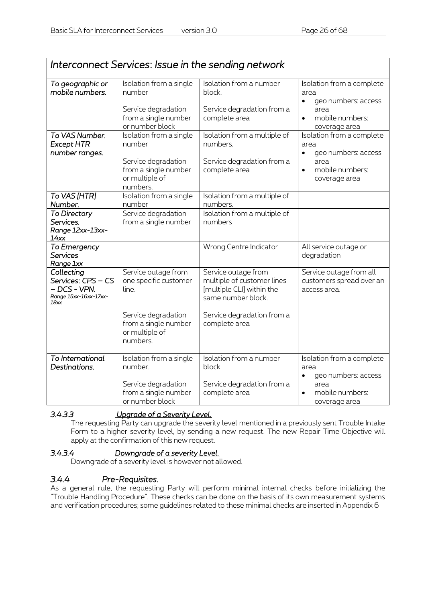| Interconnect Services: Issue in the sending network                                 |                                                                                                                                    |                                                                                                                                                     |                                                                                                                                |  |  |
|-------------------------------------------------------------------------------------|------------------------------------------------------------------------------------------------------------------------------------|-----------------------------------------------------------------------------------------------------------------------------------------------------|--------------------------------------------------------------------------------------------------------------------------------|--|--|
| To geographic or<br>mobile numbers.                                                 | Isolation from a single<br>number<br>Service degradation<br>from a single number<br>or number block                                | Isolation from a number<br>block.<br>Service degradation from a<br>complete area                                                                    | Isolation from a complete<br>area<br>geo numbers: access<br>$\bullet$<br>area<br>mobile numbers:<br>$\bullet$<br>coverage area |  |  |
| To VAS Number.<br><b>Except HTR</b><br>number ranges.                               | Isolation from a single<br>number<br>Service degradation<br>from a single number<br>or multiple of<br>numbers.                     | Isolation from a multiple of<br>numbers.<br>Service degradation from a<br>complete area                                                             | Isolation from a complete<br>area<br>geo numbers: access<br>$\bullet$<br>area<br>mobile numbers:<br>$\bullet$<br>coverage area |  |  |
| To VAS [HTR]<br>Number.                                                             | Isolation from a single<br>number                                                                                                  | Isolation from a multiple of<br>numbers.                                                                                                            |                                                                                                                                |  |  |
| <b>To Directory</b><br>Services.<br>Range 12xx-13xx-<br>14xx                        | Service degradation<br>from a single number                                                                                        | Isolation from a multiple of<br>numbers                                                                                                             |                                                                                                                                |  |  |
| To Emergency<br><b>Services</b><br>Range 1xx                                        |                                                                                                                                    | Wrong Centre Indicator                                                                                                                              | All service outage or<br>degradation                                                                                           |  |  |
| Collecting<br>Services: CPS - CS<br>$-DCS - VPN$ .<br>Range 15xx-16xx-17xx-<br>18xx | Service outage from<br>one specific customer<br>line.<br>Service degradation<br>from a single number<br>or multiple of<br>numbers. | Service outage from<br>multiple of customer lines<br>[multiple CLI] within the<br>same number block.<br>Service degradation from a<br>complete area | Service outage from all<br>customers spread over an<br>access area.                                                            |  |  |
| To International<br>Destinations.                                                   | Isolation from a single<br>number.<br>Service degradation<br>from a single number<br>or number block                               | Isolation from a number<br>block<br>Service degradation from a<br>complete area                                                                     | Isolation from a complete<br>area<br>geo numbers: access<br>$\bullet$<br>area<br>mobile numbers:<br>$\bullet$<br>coverage area |  |  |

#### *3.4.3.3 Upgrade of a Severity Level.*

The requesting Party can upgrade the severity level mentioned in a previously sent Trouble Intake Form to a higher severity level, by sending a new request. The new Repair Time Objective will apply at the confirmation of this new request.

#### *3.4.3.4 Downgrade of a severity Level.*

Downgrade of a severity level is however not allowed.

#### *3.4.4 Pre-Requisites.*

As a general rule, the requesting Party will perform minimal internal checks before initializing the "Trouble Handling Procedure". These checks can be done on the basis of its own measurement systems and verification procedures; some guidelines related to these minimal checks are inserted in Appendix 6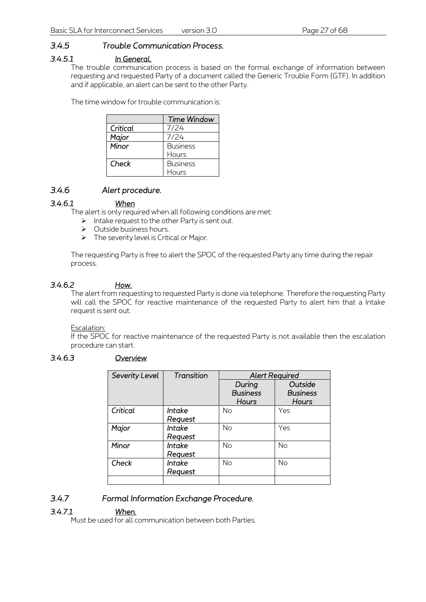#### *3.4.5 Trouble Communication Process.*

#### *3.4.5.1 In General.*

The trouble communication process is based on the formal exchange of information between requesting and requested Party of a document called the Generic Trouble Form (GTF). In addition and if applicable, an alert can be sent to the other Party.

The time window for trouble communication is:

|          | <b>Time Window</b> |  |
|----------|--------------------|--|
| Critical | 7/24               |  |
| Major    | 7/24               |  |
| Minor    | <b>Business</b>    |  |
|          | Hours              |  |
| Check    | <b>Business</b>    |  |
|          | Hours              |  |

#### *3.4.6 Alert procedure.*

#### *3.4.6.1 When*

The alert is only required when all following conditions are met:

- $\triangleright$  Intake request to the other Party is sent out.
- $\triangleright$  Outside business hours.
- $\triangleright$  The severity level is Critical or Major.

The requesting Party is free to alert the SPOC of the requested Party any time during the repair process.

#### *3.4.6.2 How.*

The alert from requesting to requested Party is done via telephone. Therefore the requesting Party will call the SPOC for reactive maintenance of the requested Party to alert him that a Intake request is sent out.

Escalation:

If the SPOC for reactive maintenance of the requested Party is not available then the escalation procedure can start.

#### *3.4.6.3 Overview*

| <b>Severity Level</b> | Transition | <b>Alert Required</b>              |                                     |  |
|-----------------------|------------|------------------------------------|-------------------------------------|--|
|                       |            | During<br><b>Business</b><br>Hours | Outside<br><b>Business</b><br>Hours |  |
| Critical              | Intake     | No                                 | Yes                                 |  |
|                       | Request    |                                    |                                     |  |
| Major                 | Intake     | No                                 | Yes                                 |  |
|                       | Request    |                                    |                                     |  |
| Minor                 | Intake     | No                                 | No                                  |  |
|                       | Request    |                                    |                                     |  |
| Check                 | Intake     | <b>No</b>                          | No                                  |  |
|                       | Reguest    |                                    |                                     |  |
|                       |            |                                    |                                     |  |

#### *3.4.7 Formal Information Exchange Procedure.*

#### *3.4.7.1 When.*

Must be used for all communication between both Parties.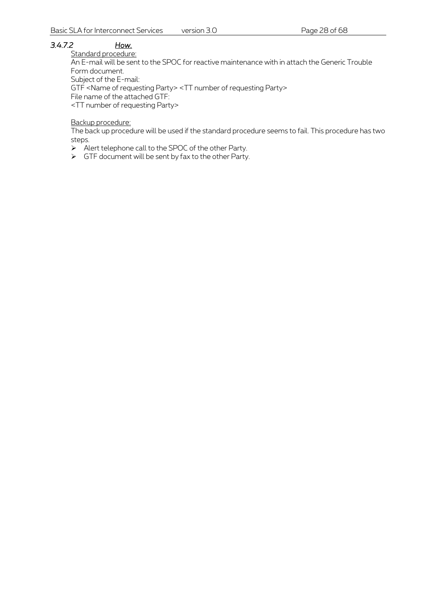#### *3.4.7.2 How.*

Standard procedure:

An E-mail will be sent to the SPOC for reactive maintenance with in attach the Generic Trouble Form document. Subject of the E-mail:

GTF <Name of requesting Party> <TT number of requesting Party>

File name of the attached GTF:

<TT number of requesting Party>

#### Backup procedure:

The back up procedure will be used if the standard procedure seems to fail. This procedure has two steps.

Alert telephone call to the SPOC of the other Party.

 $\triangleright$  GTF document will be sent by fax to the other Party.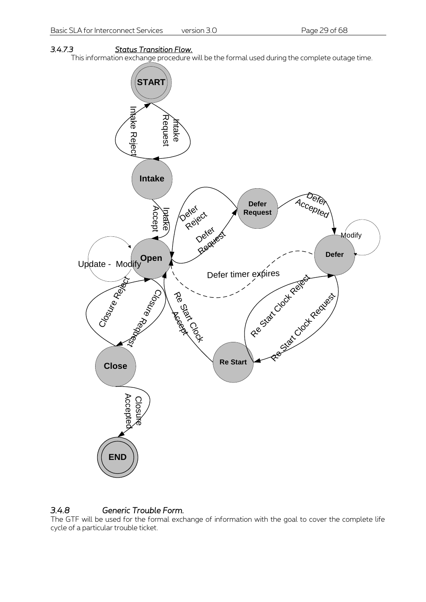#### *3.4.7.3 Status Transition Flow.*

This information exchange procedure will be the formal used during the complete outage time.



#### *3.4.8 Generic Trouble Form.*

The GTF will be used for the formal exchange of information with the goal to cover the complete life cycle of a particular trouble ticket.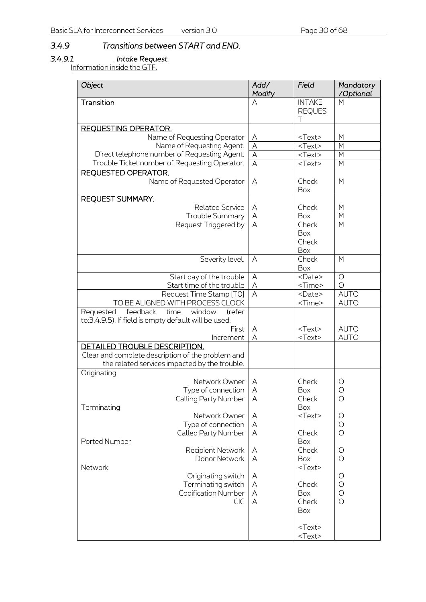#### *3.4.9 Transitions between START and END.*

#### *3.4.9.1 Intake Request.*

| Object                                                        | Add/<br>Modify          | Field                               | Mandatory<br>/Optional |
|---------------------------------------------------------------|-------------------------|-------------------------------------|------------------------|
| Transition                                                    | А                       | <b>INTAKE</b><br><b>REQUES</b><br>т | M                      |
| <b>REQUESTING OPERATOR.</b>                                   |                         |                                     |                        |
| Name of Requesting Operator                                   | Α                       | <text></text>                       | M                      |
| Name of Requesting Agent.                                     | A                       | <text></text>                       | M                      |
| Direct telephone number of Requesting Agent.                  | $\overline{A}$          | <text></text>                       | M                      |
| Trouble Ticket number of Requesting Operator.                 | $\overline{\mathsf{A}}$ | <text></text>                       | M                      |
| <b>REQUESTED OPERATOR.</b>                                    |                         |                                     |                        |
| Name of Requested Operator                                    | A                       | Check<br>Box                        | M                      |
| REQUEST SUMMARY.                                              |                         |                                     |                        |
| <b>Related Service</b>                                        | Α                       | Check                               | M                      |
| <b>Trouble Summary</b>                                        | Α                       | Box                                 | M                      |
| Request Triggered by                                          | Α                       | Check                               | M                      |
|                                                               |                         | Box                                 |                        |
|                                                               |                         | Check<br>Box                        |                        |
| Severity level.                                               | A                       | Check                               | M                      |
|                                                               |                         | Box                                 |                        |
| Start day of the trouble                                      | A                       | <date></date>                       | $\bigcirc$             |
| Start time of the trouble                                     | А                       | <time></time>                       | $\bigcirc$             |
| Request Time Stamp [TO]                                       | $\overline{A}$          | <date></date>                       | <b>AUTO</b>            |
| TO BE ALIGNED WITH PROCESS CLOCK                              |                         | <time></time>                       | <b>AUTO</b>            |
| Requested<br>feedback<br>window<br>time<br>(refer             |                         |                                     |                        |
| to:3.4.9.5). If field is empty default will be used.<br>First | Α                       | <text></text>                       | <b>AUTO</b>            |
| Increment                                                     | А                       | <text></text>                       | <b>AUTO</b>            |
| <b>DETAILED TROUBLE DESCRIPTION.</b>                          |                         |                                     |                        |
| Clear and complete description of the problem and             |                         |                                     |                        |
| the related services impacted by the trouble.                 |                         |                                     |                        |
| Originating                                                   |                         |                                     |                        |
| Network Owner                                                 | Α                       | Check                               | O                      |
| Type of connection                                            | A                       | Box                                 | O                      |
| Calling Party Number                                          | A                       | Check                               | $\bigcirc$             |
| Terminating                                                   |                         | Box                                 |                        |
| Network Owner                                                 | Α                       | <text></text>                       | $\bigcirc$             |
| Type of connection                                            | A                       |                                     | $\bigcirc$             |
| Called Party Number                                           | A                       | Check                               | $\bigcirc$             |
| Ported Number                                                 |                         | Box                                 |                        |
| Recipient Network                                             | Α                       | Check                               | O                      |
| Donor Network                                                 | Α                       | Box                                 | O                      |
| Network                                                       |                         | <text></text>                       | O                      |
| Originating switch<br>Terminating switch                      | Α<br>A                  | Check                               | $\bigcirc$             |
| <b>Codification Number</b>                                    | A                       | Box                                 | O                      |
| <b>CIC</b>                                                    | A                       | Check                               | $\bigcirc$             |
|                                                               |                         | Box                                 |                        |
|                                                               |                         |                                     |                        |
|                                                               |                         | <text></text>                       |                        |
|                                                               |                         | <text></text>                       |                        |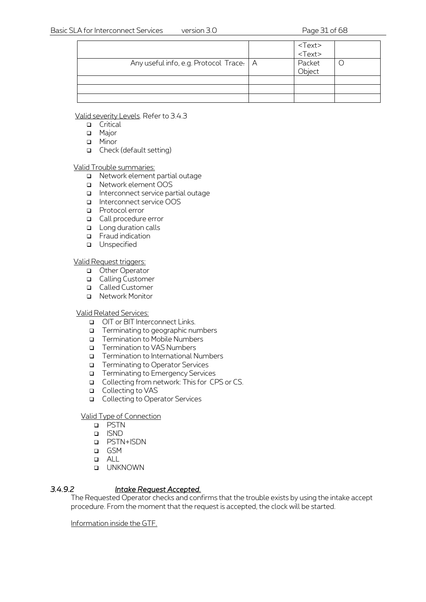|                                           | <text><br/><text></text></text> |  |
|-------------------------------------------|---------------------------------|--|
| Any useful info, e.g. Protocol Trace.   A | Packet<br>Object                |  |
|                                           |                                 |  |
|                                           |                                 |  |
|                                           |                                 |  |

#### Valid severity Levels. Refer t[o 3.4.3](#page-22-1)

- **D** Critical
- **D** Major
- **D** Minor
- Check (default setting)

#### Valid Trouble summaries:

- D Network element partial outage
- Network element OOS
- Interconnect service partial outage
- nterconnect service OOS
- **D** Protocol error
- **Q** Call procedure error
- **Q** Long duration calls
- Fraud indication
- **u** Unspecified

#### Valid Request triggers:

- **Q** Other Operator
- **Q** Calling Customer
- Called Customer
- Network Monitor

#### Valid Related Services:

- OIT or BIT Interconnect Links.
- **Terminating to geographic numbers**
- □ Termination to Mobile Numbers
- □ Termination to VAS Numbers
- □ Termination to International Numbers
- Terminating to Operator Services
- **D** Terminating to Emergency Services
- Collecting from network: This for CPS or CS.
- □ Collecting to VAS
- **Q** Collecting to Operator Services

#### Valid Type of Connection

- $\overline{p}$  PSTN
- ISND
- PSTN+ISDN
- o GSM
- $\Box$  All
- UNKNOWN

#### *3.4.9.2 Intake Request Accepted.*

The Requested Operator checks and confirms that the trouble exists by using the intake accept procedure. From the moment that the request is accepted, the clock will be started.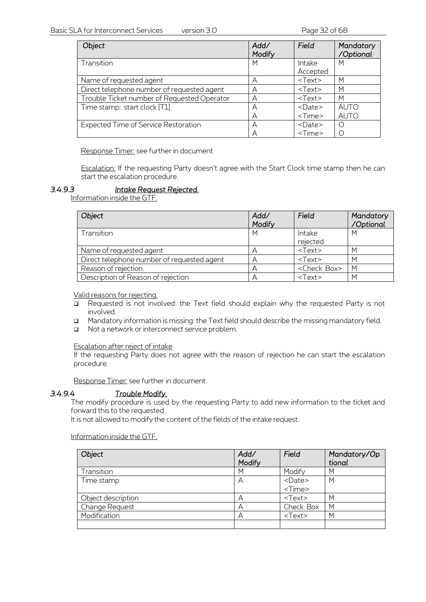| Object                                      | Add/<br>Modify | Field         | Mandatory<br>/Optional |
|---------------------------------------------|----------------|---------------|------------------------|
| Transition                                  | M              | Intake        | M                      |
|                                             |                | Accepted      |                        |
| Name of requested agent                     | Α              | $<$ Text $>$  | M                      |
| Direct telephone number of requested agent  | Α              | $<$ Text $>$  | M                      |
| Trouble Ticket number of Requested Operator | Α              | $<$ Text $>$  | M                      |
| Time stamp: start clock [T1]                | Α              | <date></date> | <b>AUTO</b>            |
|                                             | А              | $<$ Time $>$  | <b>AUTO</b>            |
| <b>Expected Time of Service Restoration</b> | А              | <date></date> |                        |
|                                             | А              | <time></time> |                        |

Response Timer: see further in document

Escalation: If the requesting Party doesn't agree with the Start Clock time stamp then he can start the escalation procedure.

#### *3.4.9.3 Intake Request Rejected.*

#### Information inside the GTF.

| Object                                     | Add/<br>Modify | Field                  | Mandatory<br>/Optional |
|--------------------------------------------|----------------|------------------------|------------------------|
| Transition                                 | M              | Intake<br>rejected     | M                      |
| Name of requested agent                    | ⊶              | $<$ Text $>$           | M                      |
| Direct telephone number of requested agent | Α              | $<$ Text $>$           | M                      |
| Reason of rejection.                       |                | <check box=""></check> | M                      |
| Description of Reason of rejection         |                | $<$ Text $>$           | М                      |

#### Valid reasons for rejecting.

- Requested is not involved: the Text field should explain why the requested Party is not involved.
- Mandatory information is missing: the Text field should describe the missing mandatory field.
- □ Not a network or interconnect service problem.

#### Escalation after reject of intake

If the requesting Party does not agree with the reason of rejection he can start the escalation procedure.

Response Timer: see further in document

#### *3.4.9.4 Trouble Modify.*

The modify procedure is used by the requesting Party to add new information to the ticket and forward this to the requested

It is not allowed to modify the content of the fields of the intake request.

| Object                | Add/<br>Modify | Field                         | Mandatory/Op<br>tional |
|-----------------------|----------------|-------------------------------|------------------------|
| Transition            | M              | Modify                        | M                      |
| Time stamp            | Α              | $<$ Date $>$<br><time></time> | M                      |
| Object description    |                | $<$ Text $>$                  | M                      |
|                       | А              |                               |                        |
| <b>Change Request</b> | Α              | Check Box                     | M                      |
| Modification          | Α              | $<$ Text $>$                  | M                      |
|                       |                |                               |                        |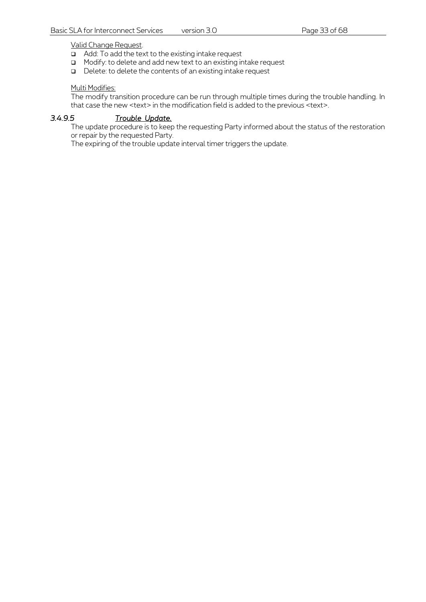#### Valid Change Request.

- Add: To add the text to the existing intake request
- Modify: to delete and add new text to an existing intake request
- Delete: to delete the contents of an existing intake request

#### Multi Modifies:

The modify transition procedure can be run through multiple times during the trouble handling. In that case the new <text> in the modification field is added to the previous <text>.

#### <span id="page-32-0"></span>*3.4.9.5 Trouble Update.*

The update procedure is to keep the requesting Party informed about the status of the restoration or repair by the requested Party.

The expiring of the trouble update interval timer triggers the update.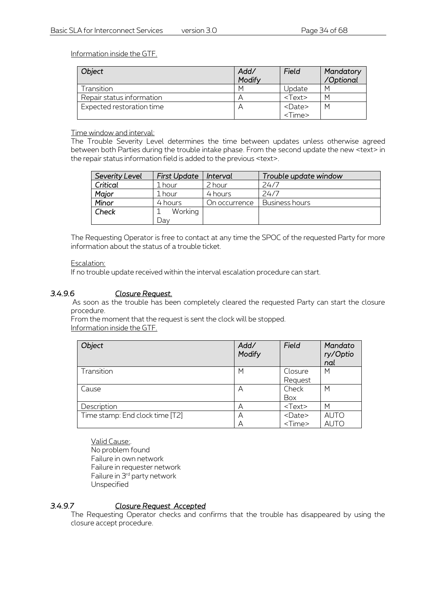Information inside the GTF.

| Object                    | Add/<br>Modify | Field         | Mandatory<br>/Optional |
|---------------------------|----------------|---------------|------------------------|
| Transition                | M              | Update        | N                      |
| Repair status information |                | $<$ Text $>$  | N                      |
| Expected restoration time |                | $<$ Date $>$  | N                      |
|                           |                | <time></time> |                        |

#### Time window and interval:

The Trouble Severity Level determines the time between updates unless otherwise agreed between both Parties during the trouble intake phase. From the second update the new <text> in the repair status information field is added to the previous <text>.

| Severity Level | <b>First Update</b> | Interval      | Trouble update window |
|----------------|---------------------|---------------|-----------------------|
| Critical       | 1 hour              | 2 hour        | 247,                  |
| Major          | 1 hour              | 4 hours       | 24 E                  |
| Minor          | 4 hours             | On occurrence | <b>Business hours</b> |
| Check          | Working             |               |                       |
|                | Da\                 |               |                       |

The Requesting Operator is free to contact at any time the SPOC of the requested Party for more information about the status of a trouble ticket.

#### Escalation:

If no trouble update received within the interval escalation procedure can start.

#### *3.4.9.6 Closure Request.*

As soon as the trouble has been completely cleared the requested Party can start the closure procedure.

From the moment that the request is sent the clock will be stopped. Information inside the GTF.

| Object                          | Add/<br>Modify | Field                    | Mandato<br>ry/Optio<br>nal |
|---------------------------------|----------------|--------------------------|----------------------------|
| Transition                      | М              | Closure                  | M                          |
|                                 |                | Request                  |                            |
| Cause                           | А              | Check                    | M                          |
|                                 |                | Box                      |                            |
| Description                     | А              | $<$ Text $>$             | M                          |
| Time stamp: End clock time [T2] | Α              | <date></date>            | <b>AUTO</b>                |
|                                 | Α              | $\overline{\text{Time}}$ | <b>AUTO</b>                |

Valid Cause:. No problem found Failure in own network Failure in requester network Failure in 3rd party network Unspecified

#### *3.4.9.7 Closure Request Accepted*

The Requesting Operator checks and confirms that the trouble has disappeared by using the closure accept procedure.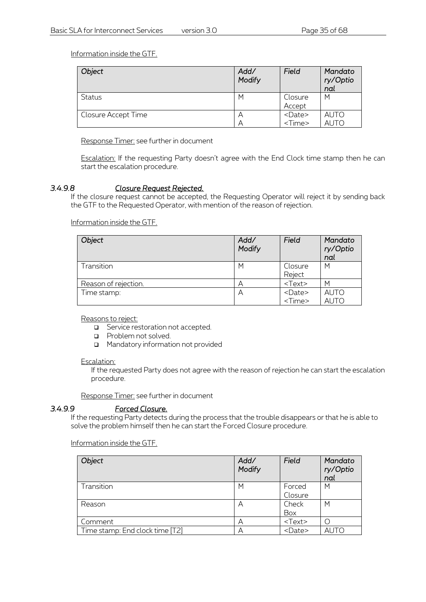#### Information inside the GTF.

| Object              | Add/<br>Modify | Field         | Mandato<br>ry/Optio<br>nal |
|---------------------|----------------|---------------|----------------------------|
| Status              | M              | Closure       | M                          |
|                     |                | Accept        |                            |
| Closure Accept Time | Α              | <date></date> | <b>AUTO</b>                |
|                     |                | <time></time> | <b>AUTO</b>                |

Response Timer: see further in document

**Escalation:** If the requesting Party doesn't agree with the End Clock time stamp then he can start the escalation procedure.

#### *3.4.9.8 Closure Request Rejected.*

If the closure request cannot be accepted, the Requesting Operator will reject it by sending back the GTF to the Requested Operator, with mention of the reason of rejection.

#### Information inside the GTF.

| Object               | Add/<br>Modify | Field                                                 | Mandato<br>ry/Optio<br>nal |
|----------------------|----------------|-------------------------------------------------------|----------------------------|
| Transition           | M              | Closure<br>Reject                                     | M                          |
| Reason of rejection. | A              | $<$ Text $>$                                          | M                          |
| Time stamp:          | A              | <date><br/><math>\overline{\text{Time}}</math></date> | <b>AUTO</b><br><b>AUTO</b> |

#### Reasons to reject:

- Service restoration not accepted.
- **D** Problem not solved.
- Mandatory information not provided

#### Escalation:

If the requested Party does not agree with the reason of rejection he can start the escalation procedure.

Response Timer: see further in document

#### *3.4.9.9 Forced Closure.*

If the requesting Party detects during the process that the trouble disappears or that he is able to solve the problem himself then he can start the Forced Closure procedure.

| Object                          | Add/<br>Modify | Field             | Mandato<br>ry/Optio<br>nal |
|---------------------------------|----------------|-------------------|----------------------------|
| Transition                      | M              | Forced<br>Closure | M                          |
| Reason                          | Α              | Check<br>Box      | M                          |
| Comment                         | Α              | $<$ Text $>$      |                            |
| Time stamp: End clock time [T2] | Α              | <date></date>     | <b>AUTO</b>                |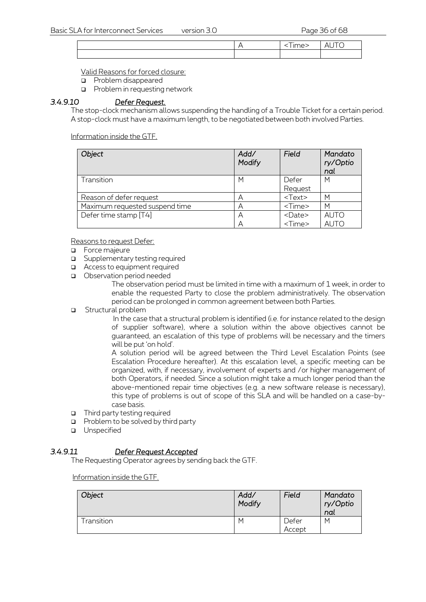Valid Reasons for forced closure:

- **D** Problem disappeared
- **Problem in requesting network**

#### *3.4.9.10 Defer Request.*

The stop-clock mechanism allows suspending the handling of a Trouble Ticket for a certain period. A stop-clock must have a maximum length, to be negotiated between both involved Parties.

Information inside the GTF.

| Object                         | Add/<br>Modify | Field                             | Mandato<br>ry/Optio<br>nal |
|--------------------------------|----------------|-----------------------------------|----------------------------|
| Transition                     | M              | Defer<br>Request                  | M                          |
| Reason of defer request        | А              | $<$ Text $>$                      | M                          |
| Maximum requested suspend time | А              | <time></time>                     | M                          |
| Defer time stamp [T4]          | А<br>А         | $<$ Date $>$<br>$\times$ Time $>$ | <b>AUTO</b><br><b>AUTO</b> |

Reasons to request Defer:

- **D** Force majeure
- **Q** Supplementary testing required
- Access to equipment required
- Observation period needed

The observation period must be limited in time with a maximum of 1 week, in order to enable the requested Party to close the problem administratively. The observation period can be prolonged in common agreement between both Parties.

**D** Structural problem

In the case that a structural problem is identified (i.e. for instance related to the design of supplier software), where a solution within the above objectives cannot be guaranteed, an escalation of this type of problems will be necessary and the timers will be put 'on hold'.

A solution period will be agreed between the Third Level Escalation Points (see Escalation Procedure hereafter). At this escalation level, a specific meeting can be organized, with, if necessary, involvement of experts and /or higher management of both Operators, if needed. Since a solution might take a much longer period than the above-mentioned repair time objectives (e.g. a new software release is necessary), this type of problems is out of scope of this SLA and will be handled on a case-bycase basis.

- □ Third party testing required
- $\Box$  Problem to be solved by third party
- **u** Unspecified

#### *3.4.9.11 Defer Request Accepted*

The Requesting Operator agrees by sending back the GTF.

| Object     | Add/<br>Modify | Field           | Mandato<br>ry/Optio<br>nal |
|------------|----------------|-----------------|----------------------------|
| Transition | Μ              | Defer<br>Accept | M                          |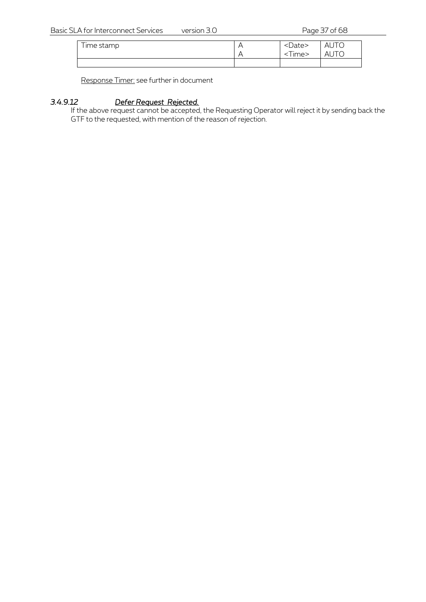| Time stamp | <date></date> | auto |
|------------|---------------|------|
|            | ime<          | AUIC |
|            |               |      |

Response Timer: see further in document

### *3.4.9.12 Defer Request Rejected.*

If the above request cannot be accepted, the Requesting Operator will reject it by sending back the GTF to the requested, with mention of the reason of rejection.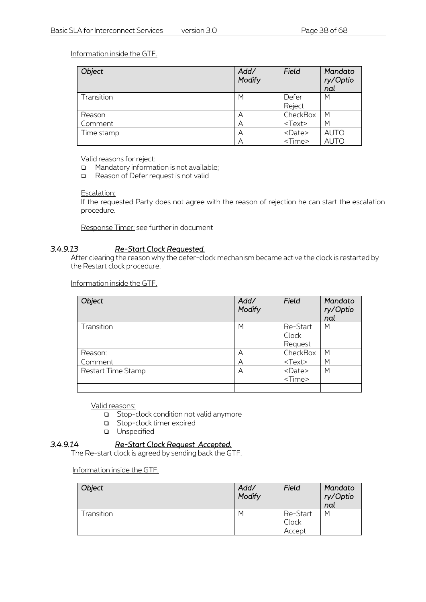#### Information inside the GTF.

| Object     | Add/<br>Modify | Field                           | Mandato<br>ry/Optio<br>nal |
|------------|----------------|---------------------------------|----------------------------|
| Transition | M              | Defer<br>Reject                 | M                          |
| Reason     | Α              | CheckBox                        | M                          |
| Comment    | Α              | $<$ Text $>$                    | M                          |
| Time stamp | Α<br>Α         | <date><br/><time></time></date> | <b>AUTO</b><br><b>AUTO</b> |

#### Valid reasons for reject:

Mandatory information is not available;

Reason of Defer request is not valid

#### Escalation:

If the requested Party does not agree with the reason of rejection he can start the escalation procedure.

Response Timer: see further in document

#### *3.4.9.13 Re-Start Clock Requested.*

After clearing the reason why the defer-clock mechanism became active the clock is restarted by the Restart clock procedure.

Information inside the GTF.

| Object             | Add/<br>Modify | Field         | Mandato<br>ry/Optio<br>nal |
|--------------------|----------------|---------------|----------------------------|
| Transition         | M              | Re-Start      | M                          |
|                    |                | Clock         |                            |
|                    |                | Request       |                            |
| Reason:            | Α              | CheckBox      | M                          |
| Comment            | Α              | $<$ Text $>$  | М                          |
| Restart Time Stamp | А              | <date></date> | M                          |
|                    |                | <time></time> |                            |
|                    |                |               |                            |

Valid reasons:

- Stop-clock condition not valid anymore
- Stop-clock timer expired
- **u** Unspecified

#### *3.4.9.14 Re-Start Clock Request Accepted.*

The Re-start clock is agreed by sending back the GTF.

| Object     | Add/<br>Modify | Field                       | Mandato<br>ry/Optio<br>nal |
|------------|----------------|-----------------------------|----------------------------|
| Transition | M              | Re-Start<br>Clock<br>Accept | M                          |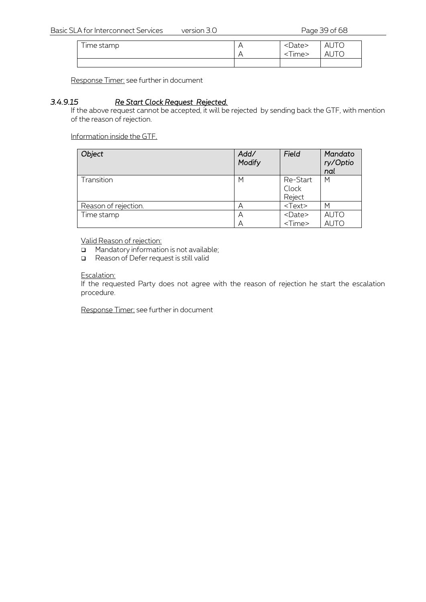| $- - \cdot$<br>l ime stamp | $\overline{\phantom{a}}$ | <date></date> | <b>AUTO</b> |
|----------------------------|--------------------------|---------------|-------------|
|                            | ⊢                        | ime<          | AU          |
|                            |                          |               |             |

Response Timer: see further in document

#### *3.4.9.15 Re Start Clock Request Rejected.*

If the above request cannot be accepted, it will be rejected by sending back the GTF, with mention of the reason of rejection.

Information inside the GTF.

| Object               | Add/<br>Modify | Field                           | Mandato<br>ry/Optio<br>nal |
|----------------------|----------------|---------------------------------|----------------------------|
| Transition           | M              | Re-Start<br>Clock<br>Reject     | M                          |
| Reason of rejection. | A              | $<$ Text $>$                    | M                          |
| Time stamp           | A<br>А         | <date><br/><time></time></date> | <b>AUTO</b><br><b>AUTO</b> |

Valid Reason of rejection:

Mandatory information is not available;

Reason of Defer request is still valid

Escalation:

If the requested Party does not agree with the reason of rejection he start the escalation procedure.

Response Timer: see further in document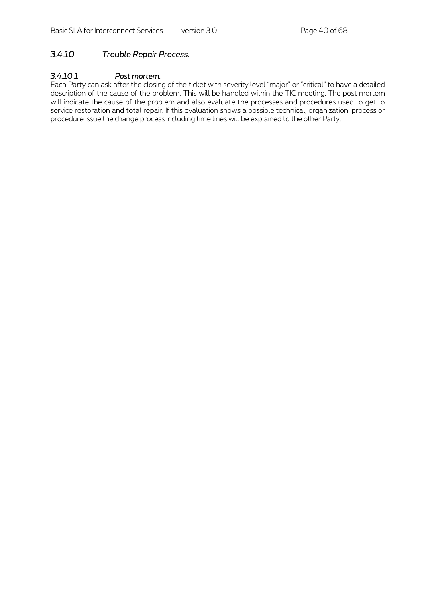#### *3.4.10 Trouble Repair Process.*

#### *3.4.10.1 Post mortem.*

Each Party can ask after the closing of the ticket with severity level "major" or "critical" to have a detailed description of the cause of the problem. This will be handled within the TIC meeting. The post mortem will indicate the cause of the problem and also evaluate the processes and procedures used to get to service restoration and total repair. If this evaluation shows a possible technical, organization, process or procedure issue the change process including time lines will be explained to the other Party.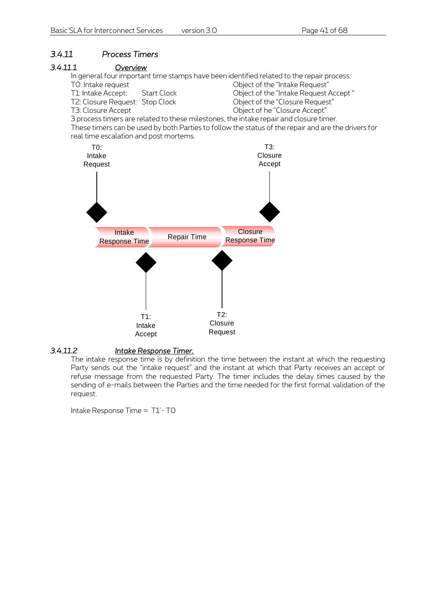#### *3.4.11 Process Timers*

#### *3.4.11.1 Overview*

In general four important time stamps have been identified related to the repair process: TO: Intake request TO: Intake request COD intake Request" T1: Intake Accept: Start Clock Clock Object of the "Intake Request Accept" T2: Closure Request: Stop Clock Object of the "Closure Request" T3: Closure Accept **T3: Closure Accept**  $\bullet$  Object of he "Closure Accept"

3 process timers are related to these milestones, the intake repair and closure timer. These timers can be used by both Parties to follow the status of the repair and are the drivers for real time escalation and post mortems.



#### *3.4.11.2 Intake Response Timer.*

The intake response time is by definition the time between the instant at which the requesting Party sends out the "intake request" and the instant at which that Party receives an accept or refuse message from the requested Party. The timer includes the delay times caused by the sending of e-mails between the Parties and the time needed for the first formal validation of the request.

Intake Response Time = T1'- T0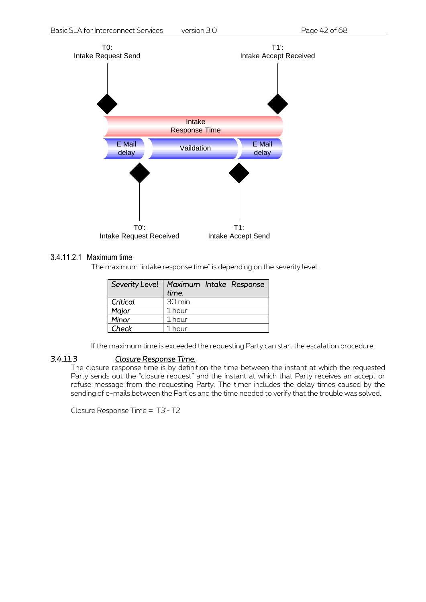

#### 3.4.11.2.1 Maximum time

The maximum "intake response time" is depending on the severity level.

| <b>Severity Level</b> | Maximum Intake Response<br>time. |
|-----------------------|----------------------------------|
| Critical              | 30 min                           |
| Major                 | 1 hour                           |
| Minor                 | 1 hour                           |
| Check                 | 1 hour                           |

If the maximum time is exceeded the requesting Party can start the escalation procedure.

#### *3.4.11.3 Closure Response Time.*

The closure response time is by definition the time between the instant at which the requested Party sends out the "closure request" and the instant at which that Party receives an accept or refuse message from the requesting Party. The timer includes the delay times caused by the sending of e-mails between the Parties and the time needed to verify that the trouble was solved..

Closure Response Time = T3'- T2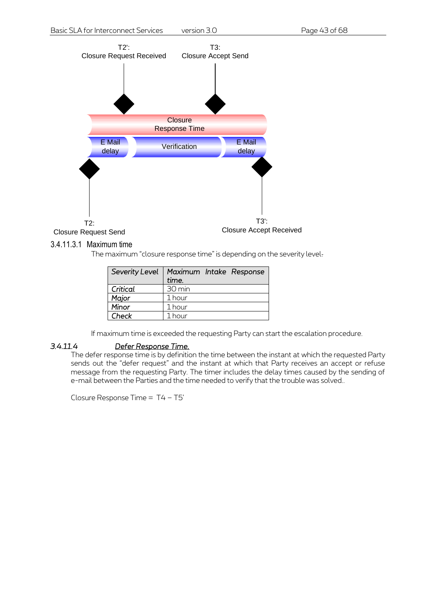

#### 3.4.11.3.1 Maximum time

The maximum "closure response time" is depending on the severity level.

| <b>Severity Level</b> | Maximum Intake Response<br>time. |
|-----------------------|----------------------------------|
| Critical              | 30 min                           |
| Major                 | 1 hour                           |
| Minor                 | 1 hour                           |
| Check                 | 1 hour                           |

If maximum time is exceeded the requesting Party can start the escalation procedure.

#### *3.4.11.4 Defer Response Time.*

The defer response time is by definition the time between the instant at which the requested Party sends out the "defer request" and the instant at which that Party receives an accept or refuse message from the requesting Party. The timer includes the delay times caused by the sending of e-mail between the Parties and the time needed to verify that the trouble was solved..

Closure Response Time = T4 – T5'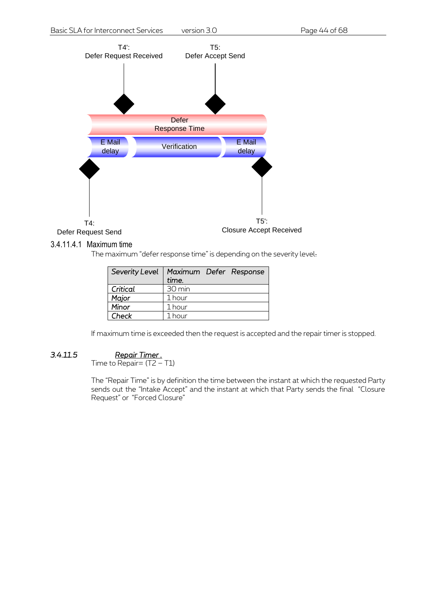

#### 3.4.11.4.1 Maximum time

The maximum "defer response time" is depending on the severity level.

| <b>Severity Level</b> | Maximum Defer Response<br>time. |
|-----------------------|---------------------------------|
| Critical              | 30 min                          |
| Major                 | 1 hour                          |
| Minor                 | 1 hour                          |
| Check                 | 1 hour                          |

If maximum time is exceeded then the request is accepted and the repair timer is stopped.

#### *3.4.11.5 Repair Timer .*

Time to Repair=  $(T2 - T1)$ 

The "Repair Time" is by definition the time between the instant at which the requested Party sends out the "Intake Accept" and the instant at which that Party sends the final "Closure Request" or "Forced Closure"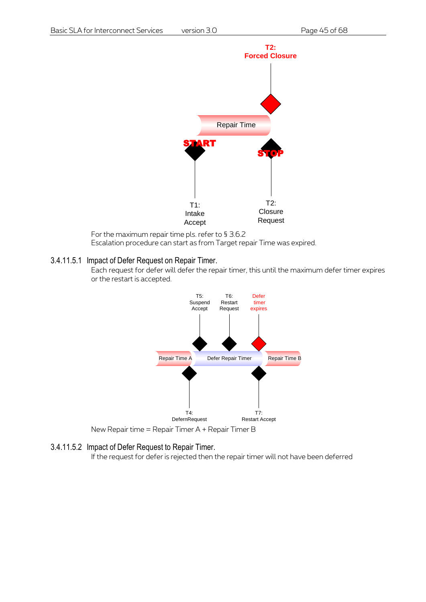

For the maximum repair time pls. refer to [§ 3.6.2](#page-49-0) Escalation procedure can start as from Target repair Time was expired.

#### 3.4.11.5.1 Impact of Defer Request on Repair Timer.

Each request for defer will defer the repair timer, this until the maximum defer timer expires or the restart is accepted.



New Repair time = Repair Timer A + Repair Timer B

#### 3.4.11.5.2 Impact of Defer Request to Repair Timer.

If the request for defer is rejected then the repair timer will not have been deferred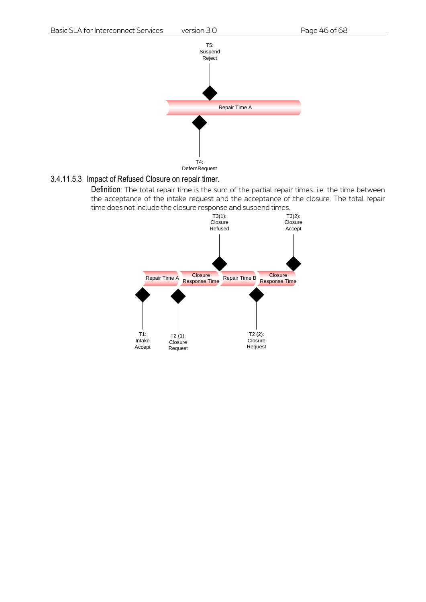

#### 3.4.11.5.3 Impact of Refused Closure on repair timer.

Definition: The total repair time is the sum of the partial repair times. i.e. the time between the acceptance of the intake request and the acceptance of the closure. The total repair time does not include the closure response and suspend times.

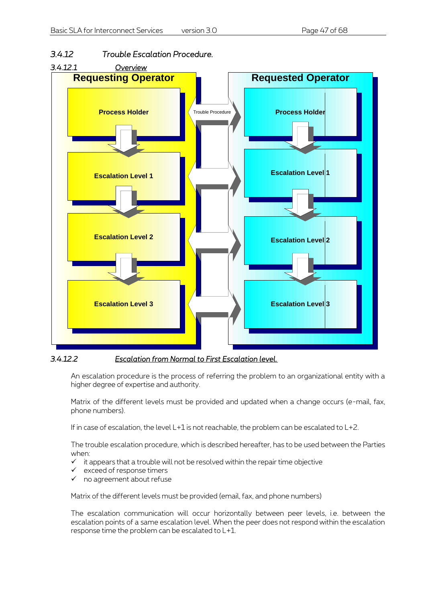

#### *3.4.12 Trouble Escalation Procedure.*

*3.4.12.2 Escalation from Normal to First Escalation level.* 

An escalation procedure is the process of referring the problem to an organizational entity with a higher degree of expertise and authority.

Matrix of the different levels must be provided and updated when a change occurs (e-mail, fax, phone numbers).

If in case of escalation, the level  $L+1$  is not reachable, the problem can be escalated to  $L+2$ .

The trouble escalation procedure, which is described hereafter, has to be used between the Parties when:

- $\checkmark$  it appears that a trouble will not be resolved within the repair time objective
- exceed of response timers
- no agreement about refuse

Matrix of the different levels must be provided (email, fax, and phone numbers)

The escalation communication will occur horizontally between peer levels, i.e. between the escalation points of a same escalation level. When the peer does not respond within the escalation response time the problem can be escalated to L+1.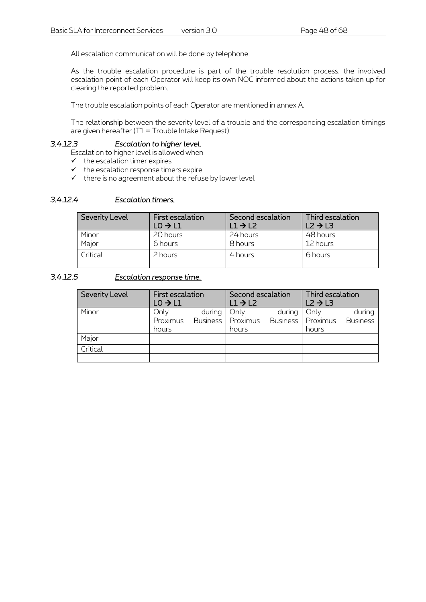All escalation communication will be done by telephone.

As the trouble escalation procedure is part of the trouble resolution process, the involved escalation point of each Operator will keep its own NOC informed about the actions taken up for clearing the reported problem.

The trouble escalation points of each Operator are mentioned in annex A.

The relationship between the severity level of a trouble and the corresponding escalation timings are given hereafter  $(T1 = Trouble Intake Request)$ :

#### *3.4.12.3 Escalation to higher level.*

Escalation to higher level is allowed when

- $\checkmark$  the escalation timer expires
- $\checkmark$  the escalation response timers expire
- $\checkmark$  there is no agreement about the refuse by lower level

#### *3.4.12.4 Escalation timers.*

| Severity Level | First escalation<br>LO $\rightarrow$ L1 | Second escalation<br>$L1 \rightarrow L2$ | Third escalation<br>$L2 \rightarrow L3$ |
|----------------|-----------------------------------------|------------------------------------------|-----------------------------------------|
| Minor          | 20 hours                                | 24 hours                                 | 48 hours                                |
| Major          | 6 hours                                 | 8 hours                                  | 12 hours                                |
| Critical       | 2 hours.                                | 4 hours                                  | 6 hours                                 |
|                |                                         |                                          |                                         |

#### *3.4.12.5 Escalation response time.*

| <b>Severity Level</b> | First escalation<br>$LO \rightarrow L1$ |        | Second escalation<br>$L1 \rightarrow L2$ |        | Third escalation<br>$L2 \rightarrow L3$ |                 |
|-----------------------|-----------------------------------------|--------|------------------------------------------|--------|-----------------------------------------|-----------------|
| Minor                 | Only                                    | during | Only                                     | during | Only                                    | during          |
|                       | Proximus                                |        | Business   Proximus                      |        | Business   Proximus                     | <b>Business</b> |
|                       | hours                                   |        | hours                                    |        | hours                                   |                 |
| Major                 |                                         |        |                                          |        |                                         |                 |
| Critical              |                                         |        |                                          |        |                                         |                 |
|                       |                                         |        |                                          |        |                                         |                 |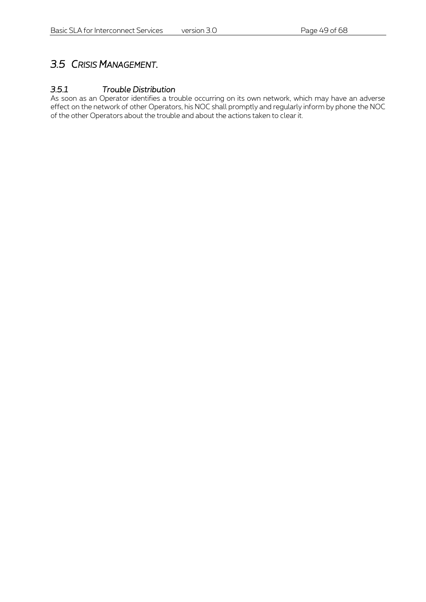# *3.5 CRISIS MANAGEMENT.*

#### *3.5.1 Trouble Distribution*

As soon as an Operator identifies a trouble occurring on its own network, which may have an adverse effect on the network of other Operators, his NOC shall promptly and regularly inform by phone the NOC of the other Operators about the trouble and about the actions taken to clear it.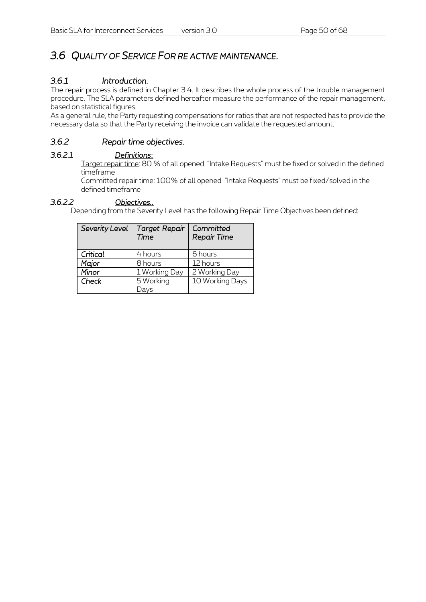### *3.6 QUALITY OF SERVICE FOR RE ACTIVE MAINTENANCE.*

#### *3.6.1 Introduction.*

The repair process is defined in Chapter [3.4.](#page-22-2) It describes the whole process of the trouble management procedure. The SLA parameters defined hereafter measure the performance of the repair management, based on statistical figures.

As a general rule, the Party requesting compensations for ratios that are not respected has to provide the necessary data so that the Party receiving the invoice can validate the requested amount.

#### <span id="page-49-0"></span>*3.6.2 Repair time objectives.*

#### *3.6.2.1 Definitions:*

Target repair time: 80 % of all opened "Intake Requests" must be fixed or solved in the defined timeframe

Committed repair time: 100% of all opened "Intake Requests" must be fixed/solved in the defined timeframe

#### *3.6.2.2 Objectives..*

Depending from the Severity Level has the following Repair Time Objectives been defined:

| Severity Level | <b>Target Repair</b><br>Time | Committed<br><b>Repair Time</b> |
|----------------|------------------------------|---------------------------------|
| Critical       | 4 hours                      | 6 hours                         |
| Major          | 8 hours                      | 12 hours                        |
| Minor          | 1 Working Day                | 2 Working Day                   |
| Check          | 5 Working                    | 10 Working Days                 |
|                | Javs                         |                                 |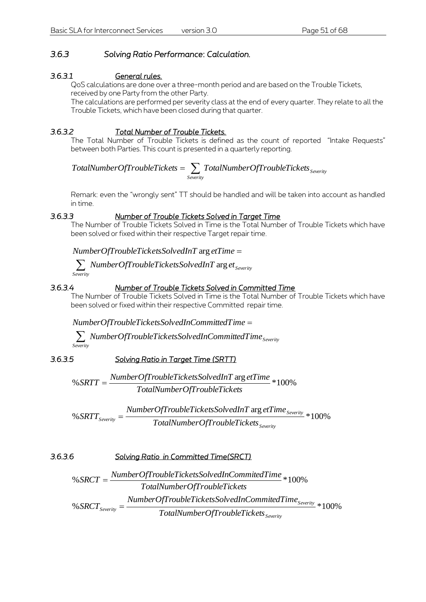#### *3.6.3 Solving Ratio Performance: Calculation.*

#### *3.6.3.1 General rules.*

QoS calculations are done over a three-month period and are based on the Trouble Tickets, received by one Party from the other Party.

The calculations are performed per severity class at the end of every quarter. They relate to all the Trouble Tickets, which have been closed during that quarter.

#### *3.6.3.2 Total Number of Trouble Tickets.*

The Total Number of Trouble Tickets is defined as the count of reported "Intake Requests" between both Parties. This count is presented in a quarterly reporting.

#### *Severity Severity TotalNumberOfTroubleTickets TotalNumberOfTroubleTickets*

Remark: even the "wrongly sent" TT should be handled and will be taken into account as handled in time.

#### *3.6.3.3 Number of Trouble Tickets Solved in Target Time*

The Number of Trouble Tickets Solved in Time is the Total Number of Trouble Tickets which have been solved or fixed within their respective Target repair time.

 $NumberOfTroubleTicketsSolvedInT$  arg etTime =

*Severity Severity*  $\sum$  *NumberOfTroubleTicketsSolvedInT* arget

#### *3.6.3.4 Number of Trouble Tickets Solved in Committed Time*

The Number of Trouble Tickets Solved in Time is the Total Number of Trouble Tickets which have been solved or fixed within their respective Committed repair time.

*NumberOfTroubleTicketsSolvedInCommittedTime*

*Severity Severity NumberOfTroubleTicketsSolvedInCommittedTime*

#### *3.6.3.5 Solving Ratio in Target Time (SRTT)*

%  $SRTT = \frac{NumberOfTroubleTicketsSolvedInT \text{ arg } e tTime}{T} * 100\%$ *TotalNumberOfTroubleTickets*  $SRTT = \frac{NumberOfTroubleTicketsSolvedInT \text{ arg } e tTime}{T} * 100\%$ 

\*100% arg % *Severity Severity Severity TotalNumberOfTroubleTickets*  $NumberOfTroubleTicatesSolvedInT arg etTime$  $SRTT_{Severity} = \frac{SRTT_{Severity}}{T}$ 

3.6.3.6 Solving Ratio in Committee Time(SROT)

\n% SROT = 
$$
\frac{NumberOfTroubleTicketsSolvedInCommittedTime}{TotalNumberOfTroubleTickets*$SolvedInCommittedTime}_{S\text{every}} * 100\%
$$

\n
$$
% SRCT_{S\text{every}} = \frac{NumberOfTroubleTicketsSolvedInCommittedTime}_{S\text{every}} * 100\%
$$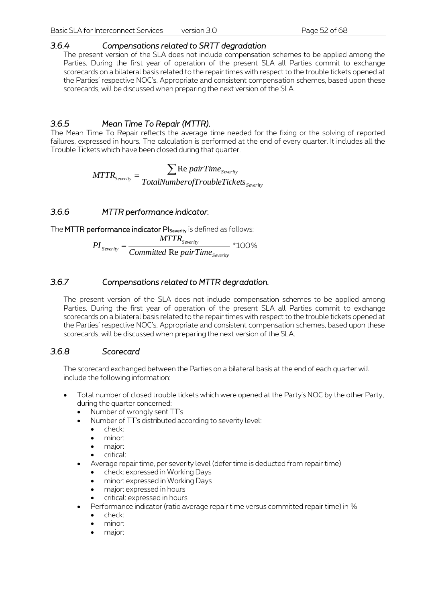#### *3.6.4 Compensations related to SRTT degradation*

The present version of the SLA does not include compensation schemes to be applied among the Parties. During the first year of operation of the present SLA all Parties commit to exchange scorecards on a bilateral basis related to the repair times with respect to the trouble tickets opened at the Parties' respective NOC's. Appropriate and consistent compensation schemes, based upon these scorecards, will be discussed when preparing the next version of the SLA.

### *3.6.5 Mean Time To Repair (MTTR).*

The Mean Time To Repair reflects the average time needed for the fixing or the solving of reported failures, expressed in hours. The calculation is performed at the end of every quarter. It includes all the Trouble Tickets which have been closed during that quarter.

> *Severity Severity Severity TotalNumberofTroubleTickets*  $MTTR$ <sub>Severity</sub> =  $\frac{\sum \text{Re pairTime}}{\sum \sum \text{Re pairTime}}$ Re

#### *3.6.6 MTTR performance indicator.*

The MTTR performance indicator PI<sub>Severity</sub> is defined as follows:

$$
PI_{S\text{everity}} = \frac{MTTR_{S\text{everity}}}{Committed \text{ Re pairTime}_{S\text{everity}}} * 100\%
$$

#### *3.6.7 Compensations related to MTTR degradation.*

The present version of the SLA does not include compensation schemes to be applied among Parties. During the first year of operation of the present SLA all Parties commit to exchange scorecards on a bilateral basis related to the repair times with respect to the trouble tickets opened at the Parties' respective NOC's. Appropriate and consistent compensation schemes, based upon these scorecards, will be discussed when preparing the next version of the SLA.

#### *3.6.8 Scorecard*

The scorecard exchanged between the Parties on a bilateral basis at the end of each quarter will include the following information:

- Total number of closed trouble tickets which were opened at the Party's NOC by the other Party, during the quarter concerned:
	- Number of wrongly sent TT's
	- Number of TT's distributed according to severity level:
		- check:
		- minor:
		- major:
		- critical:
	- Average repair time, per severity level (defer time is deducted from repair time)
		- check: expressed in Working Days
		- minor: expressed in Working Days
		- major: expressed in hours
		- critical: expressed in hours
	- Performance indicator (ratio average repair time versus committed repair time) in %
		- check:
		- minor:
		- major: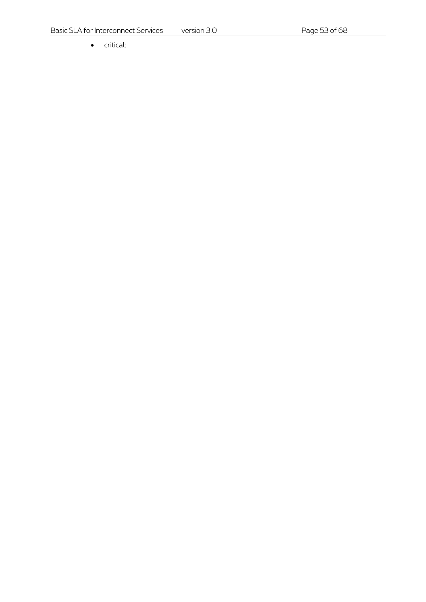• critical: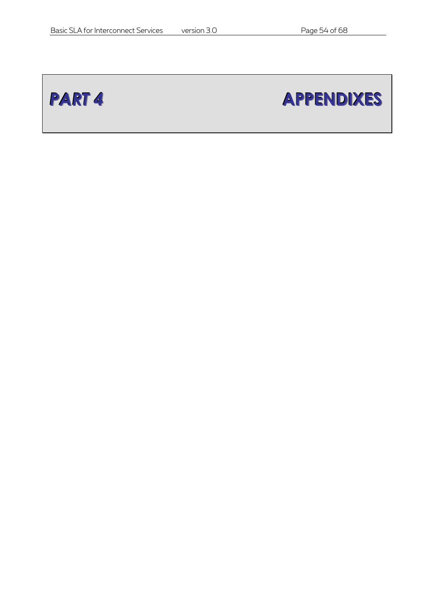

# **PART 4 APPENDIXES**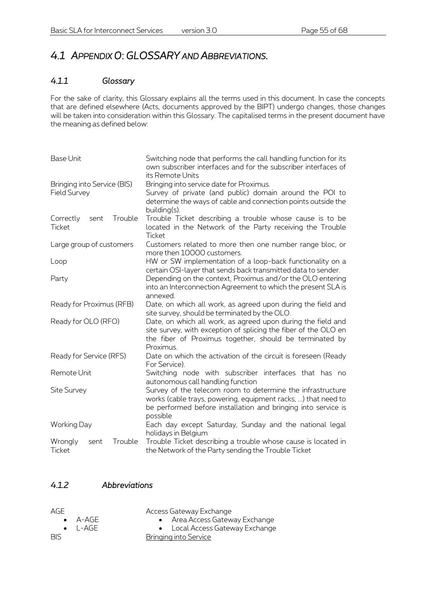# *4.1 APPENDIX 0: GLOSSARY AND ABBREVIATIONS.*

#### *4.1.1 Glossary*

For the sake of clarity, this Glossary explains all the terms used in this document. In case the concepts that are defined elsewhere (Acts, documents approved by the BIPT) undergo changes, those changes will be taken into consideration within this Glossary. The capitalised terms in the present document have the meaning as defined below:

| <b>Base Unit</b>                                   | Switching node that performs the call handling function for its<br>own subscriber interfaces and for the subscriber interfaces of<br>its Remote Units                                                    |  |
|----------------------------------------------------|----------------------------------------------------------------------------------------------------------------------------------------------------------------------------------------------------------|--|
| Bringing into Service (BIS)<br><b>Field Survey</b> | Bringing into service date for Proximus.<br>Survey of private (and public) domain around the POI to<br>determine the ways of cable and connection points outside the<br>building(s).                     |  |
| Trouble<br>Correctly<br>sent<br>Ticket             | Trouble Ticket describing a trouble whose cause is to be<br>located in the Network of the Party receiving the Trouble<br>Ticket                                                                          |  |
| Large group of customers                           | Customers related to more then one number range bloc, or<br>more then 10000 customers.                                                                                                                   |  |
| Loop                                               | HW or SW implementation of a loop-back functionality on a<br>certain OSI-layer that sends back transmitted data to sender.                                                                               |  |
| Party                                              | Depending on the context, Proximus and/or the OLO entering<br>into an Interconnection Agreement to which the present SLA is<br>annexed.                                                                  |  |
| Ready for Proximus (RFB)                           | Date, on which all work, as agreed upon during the field and<br>site survey, should be terminated by the OLO.                                                                                            |  |
| Ready for OLO (RFO)                                | Date, on which all work, as agreed upon during the field and<br>site survey, with exception of splicing the fiber of the OLO en<br>the fiber of Proximus together, should be terminated by<br>Proximus.  |  |
| Ready for Service (RFS)                            | Date on which the activation of the circuit is foreseen (Ready<br>For Service).                                                                                                                          |  |
| Remote Unit                                        | Switching node with subscriber interfaces that has no<br>autonomous call handling function                                                                                                               |  |
| Site Survey                                        | Survey of the telecom room to determine the infrastructure<br>works (cable trays, powering, equipment racks, ) that need to<br>be performed before installation and bringing into service is<br>possible |  |
| <b>Working Day</b>                                 | Each day except Saturday, Sunday and the national legal<br>holidays in Belgium                                                                                                                           |  |
| Wrongly<br>Trouble<br>sent<br>Ticket               | Trouble Ticket describing a trouble whose cause is located in<br>the Network of the Party sending the Trouble Ticket                                                                                     |  |

#### *4.1.2 Abbreviations*

| AGF        |                                                                                                                                                                                                                                                                                                                                                                                                                                                                             | Access Gateway Exchange         |
|------------|-----------------------------------------------------------------------------------------------------------------------------------------------------------------------------------------------------------------------------------------------------------------------------------------------------------------------------------------------------------------------------------------------------------------------------------------------------------------------------|---------------------------------|
|            | $\bullet$ $A-AGF$                                                                                                                                                                                                                                                                                                                                                                                                                                                           | • Area Access Gateway Exchange  |
|            | $\bullet$ $\overline{\phantom{a}}$ $\overline{\phantom{a}}$ $\overline{\phantom{a}}$ $\overline{\phantom{a}}$ $\overline{\phantom{a}}$ $\overline{\phantom{a}}$ $\overline{\phantom{a}}$ $\overline{\phantom{a}}$ $\overline{\phantom{a}}$ $\overline{\phantom{a}}$ $\overline{\phantom{a}}$ $\overline{\phantom{a}}$ $\overline{\phantom{a}}$ $\overline{\phantom{a}}$ $\overline{\phantom{a}}$ $\overline{\phantom{a}}$ $\overline{\phantom{a}}$ $\overline{\phantom{a}}$ | • Local Access Gateway Exchange |
| <b>BIS</b> |                                                                                                                                                                                                                                                                                                                                                                                                                                                                             | <b>Bringing into Service</b>    |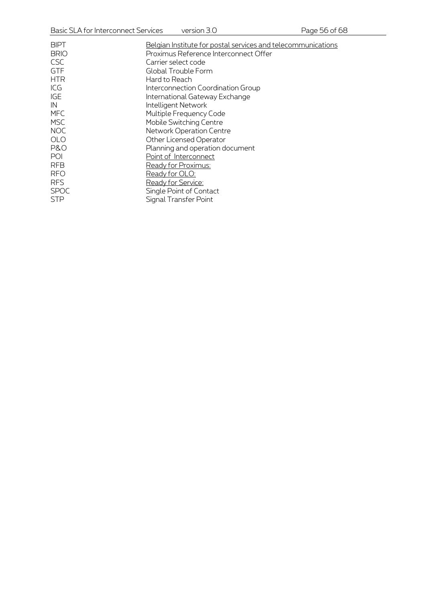| <b>BIPT</b> | Belgian Institute for postal services and telecommunications |
|-------------|--------------------------------------------------------------|
| <b>BRIO</b> | Proximus Reference Interconnect Offer                        |
| <b>CSC</b>  | Carrier select code                                          |
| <b>GTF</b>  | Global Trouble Form                                          |
| <b>HTR</b>  | Hard to Reach                                                |
| ICG         | Interconnection Coordination Group                           |
| <b>IGE</b>  | International Gateway Exchange                               |
| IN          | Intelligent Network                                          |
| <b>MFC</b>  | Multiple Frequency Code                                      |
| <b>MSC</b>  | Mobile Switching Centre                                      |
| <b>NOC</b>  | <b>Network Operation Centre</b>                              |
| <b>OLO</b>  | Other Licensed Operator                                      |
| P&O         | Planning and operation document                              |
| POI         | Point of Interconnect                                        |
| <b>RFB</b>  | Ready for Proximus:                                          |
| <b>RFO</b>  | Ready for OLO:                                               |
| <b>RFS</b>  | <u>Ready for Service:</u>                                    |
| <b>SPOC</b> | Single Point of Contact                                      |
| <b>STP</b>  | Signal Transfer Point                                        |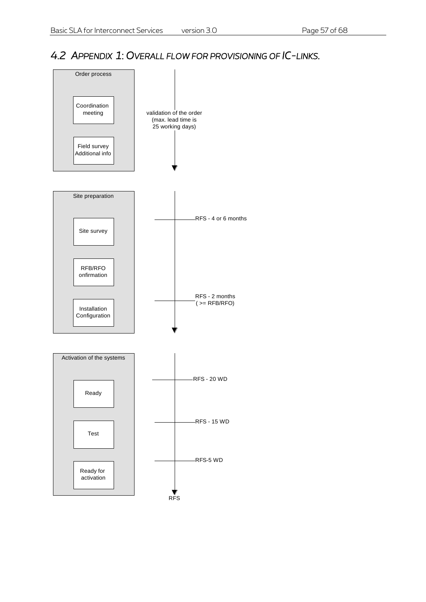# *4.2 APPENDIX 1: OVERALL FLOW FOR PROVISIONING OF IC-LINKS.*

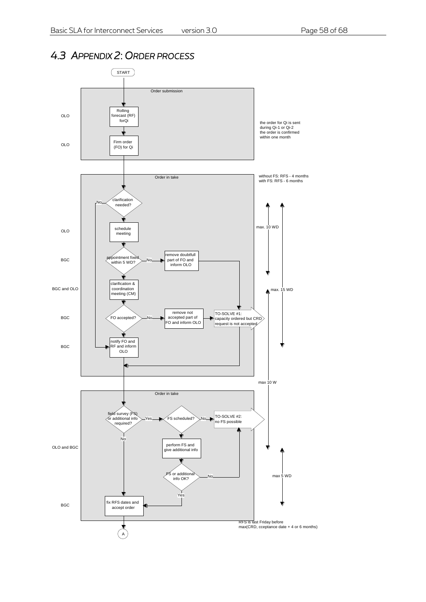

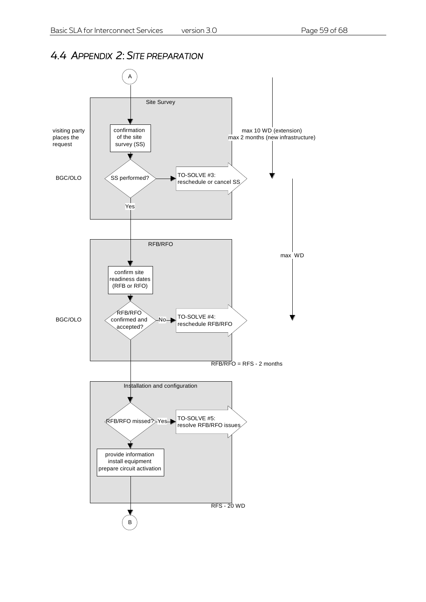# *4.4 APPENDIX 2: SITE PREPARATION*

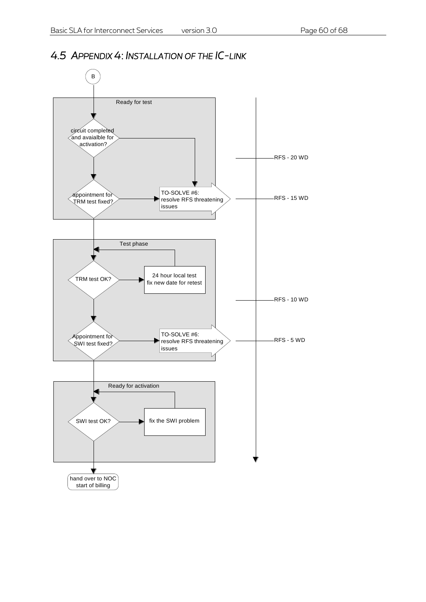# *4.5 APPENDIX 4: INSTALLATION OF THE IC-LINK*

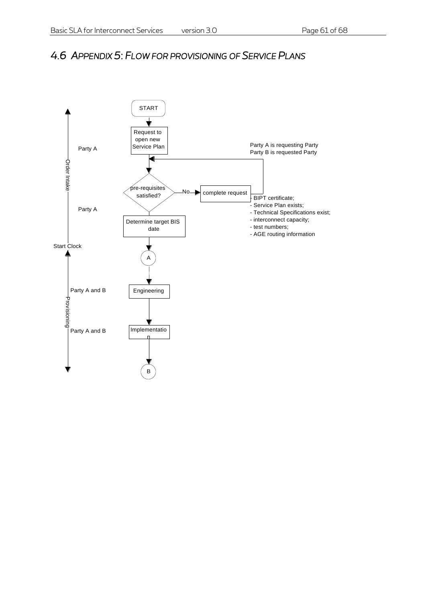# *4.6 APPENDIX 5: FLOW FOR PROVISIONING OF SERVICE PLANS*

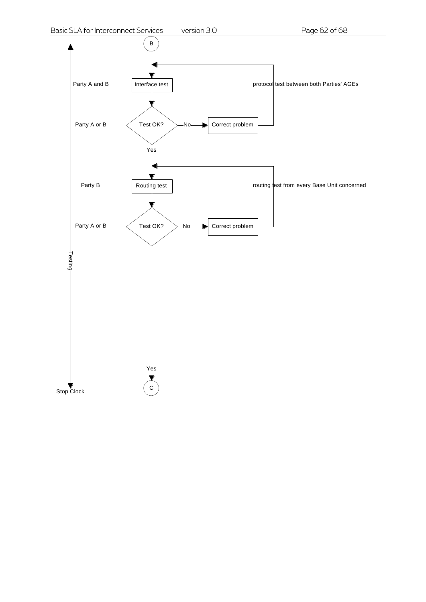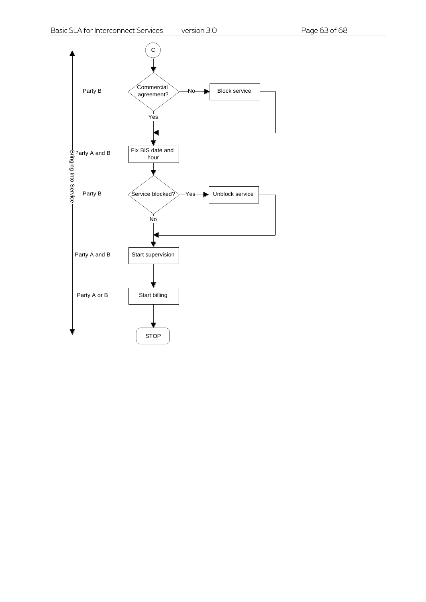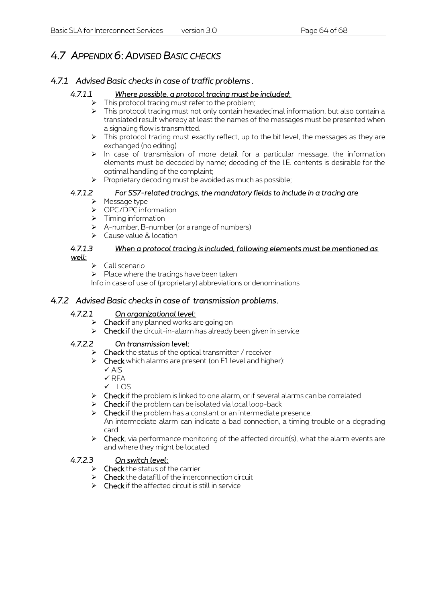# *4.7 APPENDIX 6: ADVISED BASIC CHECKS*

#### *4.7.1 Advised Basic checks in case of traffic problems .*

#### *4.7.1.1 Where possible, a protocol tracing must be included;*

- This protocol tracing must refer to the problem;
- $\triangleright$  This protocol tracing must not only contain hexadecimal information, but also contain a translated result whereby at least the names of the messages must be presented when a signaling flow is transmitted.
- $\triangleright$  This protocol tracing must exactly reflect, up to the bit level, the messages as they are exchanged (no editing)
- $\triangleright$  In case of transmission of more detail for a particular message, the information elements must be decoded by name; decoding of the I.E. contents is desirable for the optimal handling of the complaint;
- $\triangleright$  Proprietary decoding must be avoided as much as possible;

#### *4.7.1.2 For SS7-related tracings, the mandatory fields to include in a tracing are*

- > Message type
- > OPC/DPC information
- $\triangleright$  Timing information
- $\triangleright$  A-number, B-number (or a range of numbers)
- $\triangleright$  Cause value & location

# *4.7.1.3 When a protocol tracing is included, following elements must be mentioned as*

*well:* 

Call scenario

 $\triangleright$  Place where the tracings have been taken

Info in case of use of (proprietary) abbreviations or denominations

#### *4.7.2 Advised Basic checks in case of transmission problems.*

#### *4.7.2.1 On organizational level:*

- $\triangleright$  Check if any planned works are going on
- $\triangleright$  Check if the circuit-in-alarm has already been given in service

#### *4.7.2.2 On transmission level:*

- Check the status of the optical transmitter / receiver
- $\triangleright$  Check which alarms are present (on E1 level and higher):
	- $\checkmark$  AIS
	- $\checkmark$  RFA
	- $\times$  LOS
- $\triangleright$  Check if the problem is linked to one alarm, or if several alarms can be correlated
- $\triangleright$  Check if the problem can be isolated via local loop-back
- $\triangleright$  Check if the problem has a constant or an intermediate presence: An intermediate alarm can indicate a bad connection, a timing trouble or a degrading card
- $\triangleright$  Check, via performance monitoring of the affected circuit(s), what the alarm events are and where they might be located

#### *4.7.2.3 On switch level:*

- $\triangleright$  Check the status of the carrier
- $\triangleright$  Check the datafill of the interconnection circuit
- $\triangleright$  Check if the affected circuit is still in service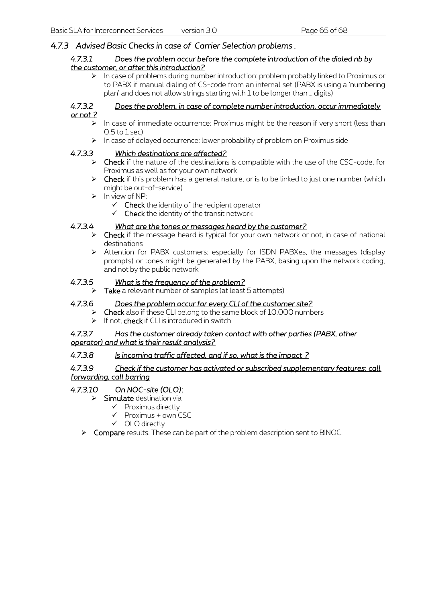#### *4.7.3 Advised Basic Checks in case of Carrier Selection problems .*

#### *4.7.3.1 Does the problem occur before the complete introduction of the dialed nb by the customer, or after this introduction?*

 $\triangleright$  In case of problems during number introduction: problem probably linked to Proximus or to PABX if manual dialing of CS-code from an internal set (PABX is using a 'numbering plan' and does not allow strings starting with 1 to be longer than … digits)

#### *4.7.3.2 Does the problem, in case of complete number introduction, occur immediately or not ?*

- $\triangleright$  In case of immediate occurrence: Proximus might be the reason if very short (less than 0.5 to 1 sec)
- $\triangleright$  In case of delayed occurrence: lower probability of problem on Proximus side

#### *4.7.3.3 Which destinations are affected?*

- $\triangleright$  Check if the nature of the destinations is compatible with the use of the CSC-code, for Proximus as well as for your own network
- $\triangleright$  Check if this problem has a general nature, or is to be linked to just one number (which might be out-of-service)
- $\triangleright$  In view of NP:
	- $\checkmark$  Check the identity of the recipient operator
	- $\checkmark$  Check the identity of the transit network

#### *4.7.3.4 What are the tones or messages heard by the customer?*

- $\triangleright$  Check if the message heard is typical for your own network or not, in case of national destinations
- Attention for PABX customers: especially for ISDN PABXes, the messages (display prompts) or tones might be generated by the PABX, basing upon the network coding, and not by the public network

#### *4.7.3.5 What is the frequency of the problem?*

 $\triangleright$  Take a relevant number of samples (at least 5 attempts)

#### *4.7.3.6 Does the problem occur for every CLI of the customer site?*

- Check also if these CLI belong to the same block of 10.000 numbers
- $\triangleright$  If not, check if CLI is introduced in switch

#### *4.7.3.7 Has the customer already taken contact with other parties (PABX, other operator) and what is their result analysis?*

#### *4.7.3.8 Is incoming traffic affected, and if so, what is the impact ?*

#### *4.7.3.9 Check if the customer has activated or subscribed supplementary features: call forwarding, call barring*

#### *4.7.3.10 On NOC-site (OLO):*

- $\triangleright$  Simulate destination via
	- $\checkmark$  Proximus directly
	- $\checkmark$  Proximus + own CSC
	- OLO directly
- $\triangleright$  Compare results. These can be part of the problem description sent to BINOC.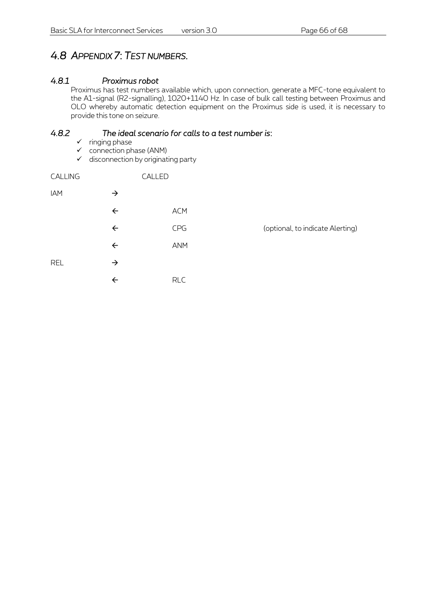# *4.8 APPENDIX 7: TEST NUMBERS.*

#### *4.8.1 Proximus robot*

Proximus has test numbers available which, upon connection, generate a MFC-tone equivalent to the A1-signal (R2-signalling), 1020+1140 Hz. In case of bulk call testing between Proximus and OLO whereby automatic detection equipment on the Proximus side is used, it is necessary to provide this tone on seizure.

#### *4.8.2 The ideal scenario for calls to a test number is:*

- $\checkmark$  ringing phase
- $\checkmark$  connection phase (ANM)
- $\checkmark$  disconnection by originating party

| CALLING    |               | CALLED     |                                  |
|------------|---------------|------------|----------------------------------|
| <b>IAM</b> | $\rightarrow$ |            |                                  |
|            | $\leftarrow$  | <b>ACM</b> |                                  |
|            | $\leftarrow$  | CPG        | (optional, to indicate Alerting) |
|            | $\leftarrow$  | <b>ANM</b> |                                  |
| <b>REL</b> | $\rightarrow$ |            |                                  |
|            | $\leftarrow$  | <b>RLC</b> |                                  |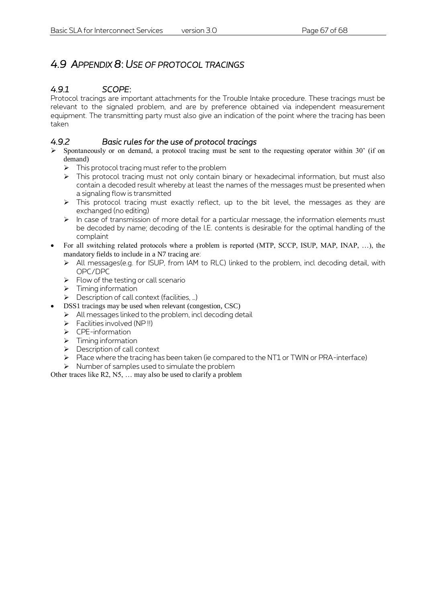# *4.9 APPENDIX 8: USE OF PROTOCOL TRACINGS*

### *4.9.1 SCOPE:*

Protocol tracings are important attachments for the Trouble Intake procedure. These tracings must be relevant to the signaled problem, and are by preference obtained via independent measurement equipment. The transmitting party must also give an indication of the point where the tracing has been taken

#### *4.9.2 Basic rules for the use of protocol tracings*

- $\triangleright$  Spontaneously or on demand, a protocol tracing must be sent to the requesting operator within 30' (if on demand)
	- $\triangleright$  This protocol tracing must refer to the problem
	- > This protocol tracing must not only contain binary or hexadecimal information, but must also contain a decoded result whereby at least the names of the messages must be presented when a signaling flow is transmitted
	- $\triangleright$  This protocol tracing must exactly reflect, up to the bit level, the messages as they are exchanged (no editing)
	- $\triangleright$  In case of transmission of more detail for a particular message, the information elements must be decoded by name; decoding of the I.E. contents is desirable for the optimal handling of the complaint
- For all switching related protocols where a problem is reported (MTP, SCCP, ISUP, MAP, INAP, …), the mandatory fields to include in a N7 tracing are:
	- All messages(e.g. for ISUP, from IAM to RLC) linked to the problem, incl decoding detail, with OPC/DPC
	- $\triangleright$  Flow of the testing or call scenario
	- $\triangleright$  Timing information
	- ▶ Description of call context (facilities, ...)
- DSS1 tracings may be used when relevant (congestion, CSC)
	- $\triangleright$  All messages linked to the problem, incl decoding detail
	- $\triangleright$  Facilities involved (NP!!)
	- CPE-information
	- $\triangleright$  Timing information
	- $\triangleright$  Description of call context
	- Place where the tracing has been taken (ie compared to the NT1 or TWIN or PRA-interface)
	- $\triangleright$  Number of samples used to simulate the problem

Other traces like R2, N5, … may also be used to clarify a problem